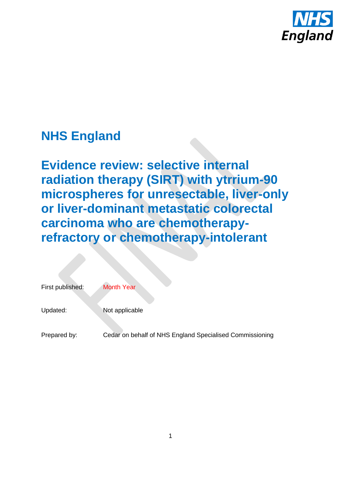

# **NHS England**

**Evidence review: selective internal radiation therapy (SIRT) with ytrrium-90 microspheres for unresectable, liver-only or liver-dominant metastatic colorectal carcinoma who are chemotherapyrefractory or chemotherapy-intolerant**

| First published: | <b>Month Year</b>                                        |
|------------------|----------------------------------------------------------|
| Updated:         | Not applicable                                           |
| Prepared by:     | Cedar on behalf of NHS England Specialised Commissioning |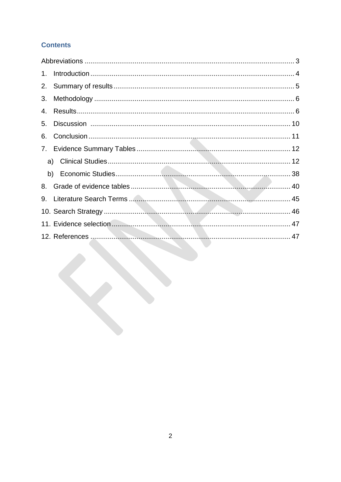# **Contents**

| 1. |  |
|----|--|
|    |  |
| 3. |  |
| 4. |  |
| 5. |  |
| 6. |  |
|    |  |
|    |  |
|    |  |
| 8. |  |
| 9. |  |
|    |  |
|    |  |
|    |  |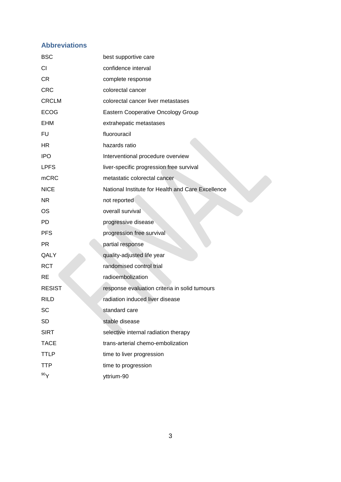# <span id="page-2-0"></span>**Abbreviations**

| <b>BSC</b>    | best supportive care                              |
|---------------|---------------------------------------------------|
| CI            | confidence interval                               |
| <b>CR</b>     | complete response                                 |
| <b>CRC</b>    | colorectal cancer                                 |
| <b>CRCLM</b>  | colorectal cancer liver metastases                |
| <b>ECOG</b>   | Eastern Cooperative Oncology Group                |
| <b>EHM</b>    | extrahepatic metastases                           |
| <b>FU</b>     | fluorouracil                                      |
| HR            | hazards ratio                                     |
| <b>IPO</b>    | Interventional procedure overview                 |
| <b>LPFS</b>   | liver-specific progression free survival          |
| <b>mCRC</b>   | metastatic colorectal cancer                      |
| <b>NICE</b>   | National Institute for Health and Care Excellence |
| <b>NR</b>     | not reported                                      |
| <b>OS</b>     | overall survival                                  |
| PD            | progressive disease                               |
| <b>PFS</b>    | progression free survival                         |
| <b>PR</b>     | partial response                                  |
| QALY          | quality-adjusted life year                        |
| <b>RCT</b>    | randomised control trial                          |
| <b>RE</b>     | radioembolization                                 |
| <b>RESIST</b> | response evaluation criteria in solid tumours     |
| <b>RILD</b>   | radiation induced liver disease                   |
| SC            | standard care                                     |
| <b>SD</b>     | stable disease                                    |
| <b>SIRT</b>   | selective internal radiation therapy              |
| <b>TACE</b>   | trans-arterial chemo-embolization                 |
| <b>TTLP</b>   | time to liver progression                         |
| <b>TTP</b>    | time to progression                               |
| 90Y           | yttrium-90                                        |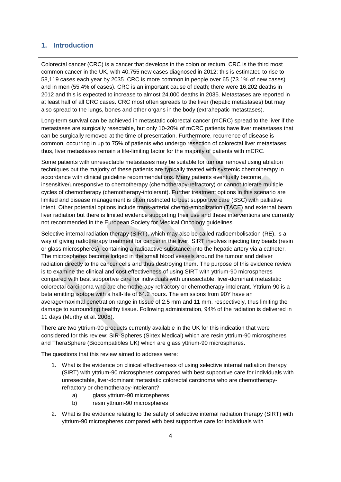#### <span id="page-3-0"></span>**1. Introduction**

Colorectal cancer (CRC) is a cancer that develops in the colon or rectum. CRC is the third most common cancer in the UK, with 40,755 new cases diagnosed in 2012; this is estimated to rise to 58,119 cases each year by 2035. CRC is more common in people over 65 (73.1% of new cases) and in men (55.4% of cases). CRC is an important cause of death; there were 16,202 deaths in 2012 and this is expected to increase to almost 24,000 deaths in 2035. Metastases are reported in at least half of all CRC cases. CRC most often spreads to the liver (hepatic metastases) but may also spread to the lungs, bones and other organs in the body (extrahepatic metastases).

Long-term survival can be achieved in metastatic colorectal cancer (mCRC) spread to the liver if the metastases are surgically resectable, but only 10-20% of mCRC patients have liver metastases that can be surgically removed at the time of presentation. Furthermore, recurrence of disease is common, occurring in up to 75% of patients who undergo resection of colorectal liver metastases; thus, liver metastases remain a life-limiting factor for the majority of patients with mCRC.

Some patients with unresectable metastases may be suitable for tumour removal using ablation techniques but the majority of these patients are typically treated with systemic chemotherapy in accordance with clinical guideline recommendations. Many patients eventually become insensitive/unresponsive to chemotherapy (chemotherapy-refractory) or cannot tolerate multiple cycles of chemotherapy (chemotherapy-intolerant). Further treatment options in this scenario are limited and disease management is often restricted to best supportive care (BSC) with palliative intent. Other potential options include trans-arterial chemo-embolization (TACE) and external beam liver radiation but there is limited evidence supporting their use and these interventions are currently not recommended in the European Society for Medical Oncology guidelines.

Selective internal radiation therapy (SIRT), which may also be called radioembolisation (RE), is a way of giving radiotherapy treatment for cancer in the liver. SIRT involves injecting tiny beads (resin or glass microspheres), containing a radioactive substance, into the hepatic artery via a catheter. The microspheres become lodged in the small blood vessels around the tumour and deliver radiation directly to the cancer cells and thus destroying them. The purpose of this evidence review is to examine the clinical and cost effectiveness of using SIRT with yttrium-90 microspheres compared with best supportive care for individuals with unresectable, liver-dominant metastatic colorectal carcinoma who are chemotherapy-refractory or chemotherapy-intolerant. Yttrium-90 is a beta emitting isotope with a half-life of 64.2 hours. The emissions from 90Y have an average/maximal penetration range in tissue of 2.5 mm and 11 mm, respectively, thus limiting the damage to surrounding healthy tissue. Following administration, 94% of the radiation is delivered in 11 days (Murthy et al. 2008).

There are two yttrium-90 products currently available in the UK for this indication that were considered for this review: SIR-Spheres (Sirtex Medical) which are resin yttrium-90 microspheres and TheraSphere (Biocompatibles UK) which are glass yttrium-90 microspheres.

The questions that this review aimed to address were:

- 1. What is the evidence on clinical effectiveness of using selective internal radiation therapy (SIRT) with yttrium-90 microspheres compared with best supportive care for individuals with unresectable, liver-dominant metastatic colorectal carcinoma who are chemotherapyrefractory or chemotherapy-intolerant?
	- a) glass yttrium-90 microspheres
	- b) resin yttrium-90 microspheres
- 2. What is the evidence relating to the safety of selective internal radiation therapy (SIRT) with yttrium-90 microspheres compared with best supportive care for individuals with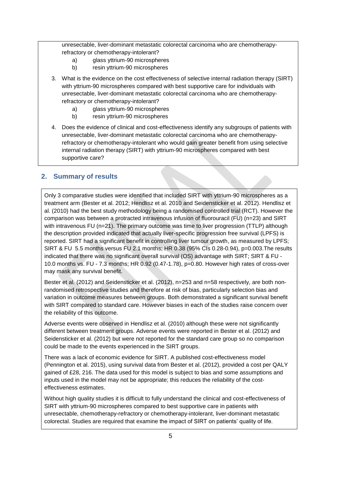unresectable, liver-dominant metastatic colorectal carcinoma who are chemotherapyrefractory or chemotherapy-intolerant?

- a) glass yttrium-90 microspheres
- b) resin yttrium-90 microspheres
- 3. What is the evidence on the cost effectiveness of selective internal radiation therapy (SIRT) with yttrium-90 microspheres compared with best supportive care for individuals with unresectable, liver-dominant metastatic colorectal carcinoma who are chemotherapyrefractory or chemotherapy-intolerant?
	- a) glass yttrium-90 microspheres
	- b) resin yttrium-90 microspheres
- 4. Does the evidence of clinical and cost-effectiveness identify any subgroups of patients with unresectable, liver-dominant metastatic colorectal carcinoma who are chemotherapyrefractory or chemotherapy-intolerant who would gain greater benefit from using selective internal radiation therapy (SIRT) with yttrium-90 microspheres compared with best supportive care?

#### <span id="page-4-0"></span>**2. Summary of results**

Only 3 comparative studies were identified that included SIRT with yttrium-90 microspheres as a treatment arm (Bester et al. 2012; Hendlisz et al. 2010 and Seidensticker et al. 2012). Hendlisz et al. (2010) had the best study methodology being a randomised controlled trial (RCT). However the comparison was between a protracted intravenous infusion of fluorouracil (FU) (n=23) and SIRT with intravenous FU (n=21). The primary outcome was time to liver progression (TTLP) although the description provided indicated that actually liver-specific progression free survival (LPFS) is reported. SIRT had a significant benefit in controlling liver tumour growth, as measured by LPFS; SIRT & FU 5.5 months versus FU 2.1 months; HR 0.38 (95% CIs 0.28-0.94), p=0.003.The results indicated that there was no significant overall survival (OS) advantage with SIRT; SIRT & FU -10.0 months vs. FU - 7.3 months; HR 0.92 (0.47-1.78), p=0.80. However high rates of cross-over may mask any survival benefit.

Bester et al. (2012) and Seidensticker et al. (2012), n=253 and n=58 respectively, are both nonrandomised retrospective studies and therefore at risk of bias, particularly selection bias and variation in outcome measures between groups. Both demonstrated a significant survival benefit with SIRT compared to standard care. However biases in each of the studies raise concern over the reliability of this outcome.

Adverse events were observed in Hendlisz et al. (2010) although these were not significantly different between treatment groups. Adverse events were reported in Bester et al. (2012) and Seidensticker et al. (2012) but were not reported for the standard care group so no comparison could be made to the events experienced in the SIRT groups.

There was a lack of economic evidence for SIRT. A published cost-effectiveness model (Pennington et al. 2015), using survival data from Bester et al. (2012), provided a cost per QALY gained of £28, 216. The data used for this model is subject to bias and some assumptions and inputs used in the model may not be appropriate; this reduces the reliability of the costeffectiveness estimates.

Without high quality studies it is difficult to fully understand the clinical and cost-effectiveness of SIRT with yttrium-90 microspheres compared to best supportive care in patients with unresectable, chemotherapy-refractory or chemotherapy-intolerant, liver-dominant metastatic colorectal. Studies are required that examine the impact of SIRT on patients' quality of life.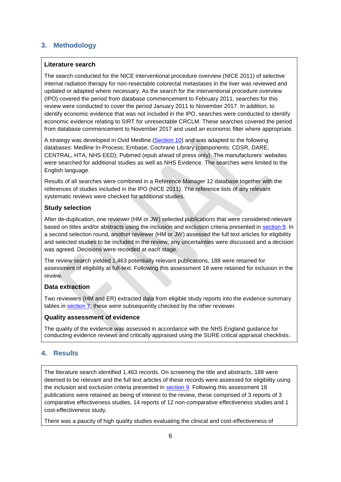#### <span id="page-5-0"></span>**3. Methodology**

#### **Literature search**

The search conducted for the NICE interventional procedure overview (NICE 2011) of selective internal radiation therapy for non-resectable colorectal metastases in the liver was reviewed and updated or adapted where necessary. As the search for the interventional procedure overview (IPO) covered the period from database commencement to February 2011, searches for this review were conducted to cover the period January 2011 to November 2017. In addition, to identify economic evidence that was not included in the IPO, searches were conducted to identify economic evidence relating to SIRT for unresectable CRCLM. These searches covered the period from database commencement to November 2017 and used an economic filter where appropriate.

A strategy was developed in Ovid Medline [\(Section 10\)](#page-45-0) and was adapted to the following databases: Medline In-Process; Embase; Cochrane Library (components: CDSR, DARE, CENTRAL, HTA, NHS EED); Pubmed (epub ahead of press only). The manufacturers' websites were searched for additional studies as well as NHS Evidence. The searches were limited to the English language.

Results of all searches were combined in a Reference Manager 12 database together with the references of studies included in the IPO (NICE 2011). The reference lists of any relevant systematic reviews were checked for additional studies.

#### **Study selection**

After de-duplication, one reviewer (HM or JW) selected publications that were considered relevant based on titles and/or abstracts using the inclusion and exclusion criteria presented in section 9. In a second selection round, another reviewer (HM or JW) assessed the full text articles for eligibility and selected studies to be included in the review; any uncertainties were discussed and a decision was agreed. Decisions were recorded at each stage.

The review search yielded 1,463 potentially relevant publications, 188 were retained for assessment of eligibility at full-text. Following this assessment 18 were retained for inclusion in the review.

#### **Data extraction**

Two reviewers (HM and ER) extracted data from eligible study reports into the evidence summary tables in [section 7;](#page-11-0) these were subsequently checked by the other reviewer.

#### **Quality assessment of evidence**

The quality of the evidence was assessed in accordance with the NHS England guidance for conducting evidence reviews and critically appraised using the SURE critical appraisal checklists.

#### <span id="page-5-1"></span>**4. Results**

The literature search identified 1,463 records. On screening the title and abstracts, 188 were deemed to be relevant and the full text articles of these records were assessed for eligibility using the inclusion and exclusion criteria presented in section 9. Following this assessment 18 publications were retained as being of interest to the review, these comprised of 3 reports of 3 comparative effectiveness studies, 14 reports of 12 non-comparative effectiveness studies and 1 cost-effectiveness study.

There was a paucity of high quality studies evaluating the clinical and cost-effectiveness of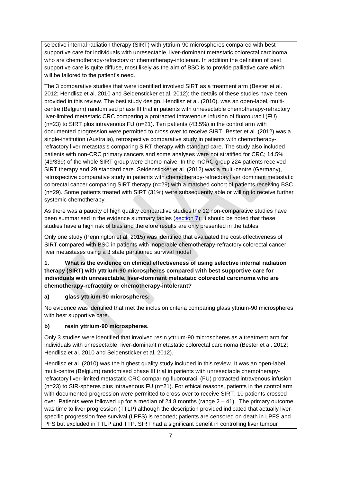selective internal radiation therapy (SIRT) with yttrium-90 microspheres compared with best supportive care for individuals with unresectable, liver-dominant metastatic colorectal carcinoma who are chemotherapy-refractory or chemotherapy-intolerant. In addition the definition of best supportive care is quite diffuse, most likely as the aim of BSC is to provide palliative care which will be tailored to the patient's need.

The 3 comparative studies that were identified involved SIRT as a treatment arm (Bester et al. 2012; Hendlisz et al. 2010 and Seidensticker et al. 2012); the details of these studies have been provided in this review. The best study design, Hendlisz et al. (2010), was an open-label, multicentre (Belgium) randomised phase III trial in patients with unresectable chemotherapy-refractory liver-limited metastatic CRC comparing a protracted intravenous infusion of fluorouracil (FU)  $(n=23)$  to SIRT plus intravenous FU  $(n=21)$ . Ten patients (43.5%) in the control arm with documented progression were permitted to cross over to receive SIRT. Bester et al. (2012) was a single-institution (Australia), retrospective comparative study in patients with chemotherapyrefractory liver metastasis comparing SIRT therapy with standard care. The study also included patients with non-CRC primary cancers and some analyses were not stratified for CRC; 14.5% (49/339) of the whole SIRT group were chemo-naive. In the mCRC group 224 patients received SIRT therapy and 29 standard care. Seidensticker et al. (2012) was a multi-centre (Germany), retrospective comparative study in patients with chemotherapy-refractory liver dominant metastatic colorectal cancer comparing SIRT therapy (n=29) with a matched cohort of patients receiving BSC (n=29). Some patients treated with SIRT (31%) were subsequently able or willing to receive further systemic chemotherapy.

As there was a paucity of high quality comparative studies the 12 non-comparative studies have been summarised in the evidence summary tables [\(section 7\)](#page-11-0); it should be noted that these studies have a high risk of bias and therefore results are only presented in the tables.

Only one study (Pennington et al. 2015) was identified that evaluated the cost-effectiveness of SIRT compared with BSC in patients with inoperable chemotherapy-refractory colorectal cancer liver metastases using a 3 state partitioned survival model

**1. What is the evidence on clinical effectiveness of using selective internal radiation therapy (SIRT) with yttrium-90 microspheres compared with best supportive care for individuals with unresectable, liver-dominant metastatic colorectal carcinoma who are chemotherapy-refractory or chemotherapy-intolerant?**

#### **a) glass yttrium-90 microspheres;**

No evidence was identified that met the inclusion criteria comparing glass yttrium-90 microspheres with best supportive care.

#### **b) resin yttrium-90 microspheres.**

Only 3 studies were identified that involved resin yttrium-90 microspheres as a treatment arm for individuals with unresectable, liver-dominant metastatic colorectal carcinoma (Bester et al. 2012; Hendlisz et al. 2010 and Seidensticker et al. 2012).

Hendlisz et al. (2010) was the highest quality study included in this review. It was an open-label, multi-centre (Belgium) randomised phase III trial in patients with unresectable chemotherapyrefractory liver-limited metastatic CRC comparing fluorouracil (FU) protracted intravenous infusion  $(n=23)$  to SIR-spheres plus intravenous FU ( $n=21$ ). For ethical reasons, patients in the control arm with documented progression were permitted to cross over to receive SIRT, 10 patients crossedover. Patients were followed up for a median of 24.8 months (range 2 – 41). The primary outcome was time to liver progression (TTLP) although the description provided indicated that actually liverspecific progression free survival (LPFS) is reported; patients are censored on death in LPFS and PFS but excluded in TTLP and TTP. SIRT had a significant benefit in controlling liver tumour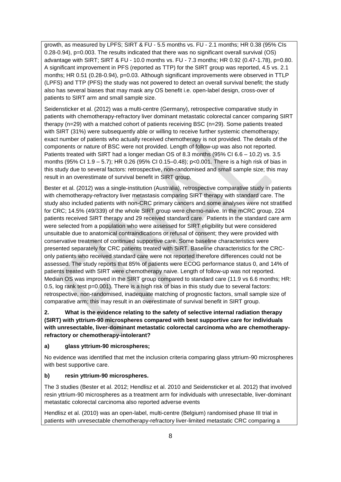growth, as measured by LPFS; SIRT & FU - 5.5 months vs. FU - 2.1 months; HR 0.38 (95% CIs 0.28-0.94), p=0.003. The results indicated that there was no significant overall survival (OS) advantage with SIRT; SIRT & FU - 10.0 months vs. FU - 7.3 months; HR 0.92 (0.47-1.78), p=0.80. A significant improvement in PFS (reported as TTP) for the SIRT group was reported, 4.5 vs. 2.1 months; HR 0.51 (0.28-0.94), p=0.03. Although significant improvements were observed in TTLP (LPFS) and TTP (PFS) the study was not powered to detect an overall survival benefit; the study also has several biases that may mask any OS benefit i.e. open-label design, cross-over of patients to SIRT arm and small sample size.

Seidensticker et al. (2012) was a multi-centre (Germany), retrospective comparative study in patients with chemotherapy-refractory liver dominant metastatic colorectal cancer comparing SIRT therapy (n=29) with a matched cohort of patients receiving BSC (n=29). Some patients treated with SIRT (31%) were subsequently able or willing to receive further systemic chemotherapy; exact number of patients who actually received chemotherapy is not provided. The details of the components or nature of BSC were not provided. Length of follow-up was also not reported. Patients treated with SIRT had a longer median OS of 8.3 months (95% CI 6.6 – 10.2) vs. 3.5 months (95% CI 1.9 – 5.7); HR 0.26 (95% CI 0.15–0.48); p<0.001. There is a high risk of bias in this study due to several factors: retrospective, non-randomised and small sample size; this may result in an overestimate of survival benefit in SIRT group.

Bester et al. (2012) was a single-institution (Australia), retrospective comparative study in patients with chemotherapy-refractory liver metastasis comparing SIRT therapy with standard care. The study also included patients with non-CRC primary cancers and some analyses were not stratified for CRC; 14.5% (49/339) of the whole SIRT group were chemo-naive. In the mCRC group, 224 patients received SIRT therapy and 29 received standard care. Patients in the standard care arm were selected from a population who were assessed for SIRT eligibility but were considered unsuitable due to anatomical contraindications or refusal of consent; they were provided with conservative treatment of continued supportive care. Some baseline characteristics were presented separately for CRC patients treated with SIRT. Baseline characteristics for the CRConly patients who received standard care were not reported therefore differences could not be assessed. The study reports that 85% of patients were ECOG performance status 0, and 14% of patients treated with SIRT were chemotherapy naive. Length of follow-up was not reported. Median OS was improved in the SIRT group compared to standard care (11.9 vs 6.6 months; HR: 0.5, log rank test p=0.001). There is a high risk of bias in this study due to several factors: retrospective, non-randomised, inadequate matching of prognostic factors, small sample size of comparative arm; this may result in an overestimate of survival benefit in SIRT group.

**2. What is the evidence relating to the safety of selective internal radiation therapy (SIRT) with yttrium-90 microspheres compared with best supportive care for individuals with unresectable, liver-dominant metastatic colorectal carcinoma who are chemotherapyrefractory or chemotherapy-intolerant?**

#### **a) glass yttrium-90 microspheres;**

No evidence was identified that met the inclusion criteria comparing glass yttrium-90 microspheres with best supportive care.

#### **b) resin yttrium-90 microspheres.**

The 3 studies (Bester et al. 2012; Hendlisz et al. 2010 and Seidensticker et al. 2012) that involved resin yttrium-90 microspheres as a treatment arm for individuals with unresectable, liver-dominant metastatic colorectal carcinoma also reported adverse events

Hendlisz et al. (2010) was an open-label, multi-centre (Belgium) randomised phase III trial in patients with unresectable chemotherapy-refractory liver-limited metastatic CRC comparing a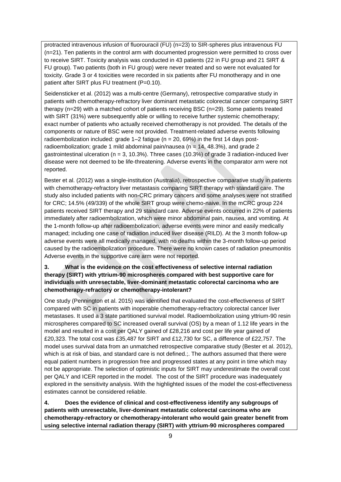protracted intravenous infusion of fluorouracil (FU) (n=23) to SIR-spheres plus intravenous FU (n=21). Ten patients in the control arm with documented progression were permitted to cross over to receive SIRT. Toxicity analysis was conducted in 43 patients (22 in FU group and 21 SIRT & FU group). Two patients (both in FU group) were never treated and so were not evaluated for toxicity. Grade 3 or 4 toxicities were recorded in six patients after FU monotherapy and in one patient after SIRT plus FU treatment (P=0.10).

Seidensticker et al. (2012) was a multi-centre (Germany), retrospective comparative study in patients with chemotherapy-refractory liver dominant metastatic colorectal cancer comparing SIRT therapy (n=29) with a matched cohort of patients receiving BSC (n=29). Some patients treated with SIRT (31%) were subsequently able or willing to receive further systemic chemotherapy; exact number of patients who actually received chemotherapy is not provided. The details of the components or nature of BSC were not provided. Treatment-related adverse events following radioembolization included: grade  $1-2$  fatigue (n = 20, 69%) in the first 14 days postradioembolization; grade 1 mild abdominal pain/nausea ( $n = 14$ , 48.3%), and grade 2 gastrointestinal ulceration ( $n = 3, 10.3\%$ ). Three cases (10.3%) of grade 3 radiation-induced liver disease were not deemed to be life-threatening. Adverse events in the comparator arm were not reported.

Bester et al. (2012) was a single-institution (Australia), retrospective comparative study in patients with chemotherapy-refractory liver metastasis comparing SIRT therapy with standard care. The study also included patients with non-CRC primary cancers and some analyses were not stratified for CRC; 14.5% (49/339) of the whole SIRT group were chemo-naive. In the mCRC group 224 patients received SIRT therapy and 29 standard care. Adverse events occurred in 22% of patients immediately after radioembolization, which were minor abdominal pain, nausea, and vomiting. At the 1-month follow-up after radioembolization, adverse events were minor and easily medically managed; including one case of radiation induced liver disease (RILD). At the 3 month follow-up adverse events were all medically managed, with no deaths within the 3-month follow-up period caused by the radioembolization procedure. There were no known cases of radiation pneumonitis Adverse events in the supportive care arm were not reported.

#### **3. What is the evidence on the cost effectiveness of selective internal radiation therapy (SIRT) with yttrium-90 microspheres compared with best supportive care for individuals with unresectable, liver-dominant metastatic colorectal carcinoma who are chemotherapy-refractory or chemotherapy-intolerant?**

One study (Pennington et al. 2015) was identified that evaluated the cost-effectiveness of SIRT compared with SC in patients with inoperable chemotherapy-refractory colorectal cancer liver metastases. It used a 3 state partitioned survival model. Radioembolization using yttrium-90 resin microspheres compared to SC increased overall survival (OS) by a mean of 1.12 life years in the model and resulted in a cost per QALY gained of £28,216 and cost per life year gained of £20,323. The total cost was £35,487 for SIRT and £12,730 for SC, a difference of £22,757. The model uses survival data from an unmatched retrospective comparative study (Bester et al. 2012), which is at risk of bias, and standard care is not defined.;. The authors assumed that there were equal patient numbers in progression free and progressed states at any point in time which may not be appropriate. The selection of optimistic inputs for SIRT may underestimate the overall cost per QALY and ICER reported in the model. The cost of the SIRT procedure was inadequately explored in the sensitivity analysis. With the highlighted issues of the model the cost-effectiveness estimates cannot be considered reliable.

**4. Does the evidence of clinical and cost-effectiveness identify any subgroups of patients with unresectable, liver-dominant metastatic colorectal carcinoma who are chemotherapy-refractory or chemotherapy-intolerant who would gain greater benefit from using selective internal radiation therapy (SIRT) with yttrium-90 microspheres compared**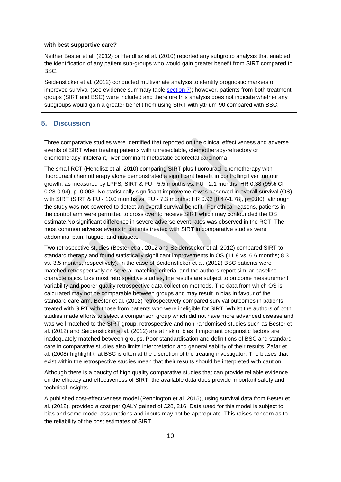#### **with best supportive care?**

Neither Bester et al. (2012) or Hendlisz et al. (2010) reported any subgroup analysis that enabled the identification of any patient sub-groups who would gain greater benefit from SIRT compared to BSC.

Seidensticker et al. (2012) conducted multivariate analysis to identify prognostic markers of improved survival (see evidence summary table [section 7\)](#page-11-0); however, patients from both treatment groups (SIRT and BSC) were included and therefore this analysis does not indicate whether any subgroups would gain a greater benefit from using SIRT with yttrium-90 compared with BSC.

#### <span id="page-9-0"></span>**5. Discussion**

Three comparative studies were identified that reported on the clinical effectiveness and adverse events of SIRT when treating patients with unresectable, chemotherapy-refractory or chemotherapy-intolerant, liver-dominant metastatic colorectal carcinoma.

The small RCT (Hendlisz et al. 2010) comparing SIRT plus fluorouracil chemotherapy with fluorouracil chemotherapy alone demonstrated a significant benefit in controlling liver tumour growth, as measured by LPFS; SIRT & FU - 5.5 months vs. FU - 2.1 months; HR 0.38 (95% CI 0.28-0.94), p=0.003. No statistically significant improvement was observed in overall survival (OS) with SIRT (SIRT & FU - 10.0 months vs. FU - 7.3 months; HR 0.92 [0.47-1.78], p=0.80); although the study was not powered to detect an overall survival benefit. For ethical reasons, patients in the control arm were permitted to cross over to receive SIRT which may confounded the OS estimate.No significant difference in severe adverse event rates was observed in the RCT. The most common adverse events in patients treated with SIRT in comparative studies were abdominal pain, fatigue, and nausea.

Two retrospective studies (Bester et al. 2012 and Seidensticker et al. 2012) compared SIRT to standard therapy and found statistically significant improvements in OS (11.9 vs. 6.6 months; 8.3 vs. 3.5 months, respectively). In the case of Seidensticker et al. (2012) BSC patients were matched retrospectively on several matching criteria, and the authors report similar baseline characteristics. Like most retrospective studies, the results are subject to outcome measurement variability and poorer quality retrospective data collection methods. The data from which OS is calculated may not be comparable between groups and may result in bias in favour of the standard care arm. Bester et al. (2012) retrospectively compared survival outcomes in patients treated with SIRT with those from patients who were ineligible for SIRT. Whilst the authors of both studies made efforts to select a comparison group which did not have more advanced disease and was well matched to the SIRT group, retrospective and non-randomised studies such as Bester et al. (2012) and Seidensticker et al. (2012) are at risk of bias if important prognostic factors are inadequately matched between groups. Poor standardisation and definitions of BSC and standard care in comparative studies also limits interpretation and generalisability of their results. Zafar et al. (2008) highlight that BSC is often at the discretion of the treating investigator. The biases that exist within the retrospective studies mean that their results should be interpreted with caution.

Although there is a paucity of high quality comparative studies that can provide reliable evidence on the efficacy and effectiveness of SIRT, the available data does provide important safety and technical insights.

A published cost-effectiveness model (Pennington et al. 2015), using survival data from Bester et al. (2012), provided a cost per QALY gained of £28, 216. Data used for this model is subject to bias and some model assumptions and inputs may not be appropriate. This raises concern as to the reliability of the cost estimates of SIRT.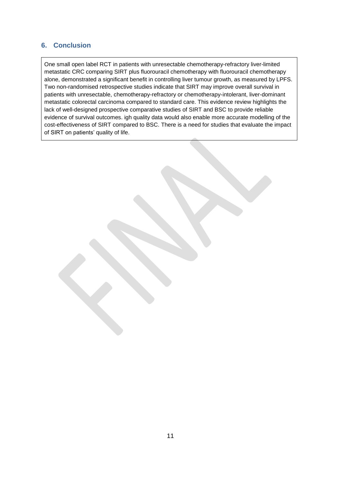#### <span id="page-10-0"></span>**6. Conclusion**

One small open label RCT in patients with unresectable chemotherapy-refractory liver-limited metastatic CRC comparing SIRT plus fluorouracil chemotherapy with fluorouracil chemotherapy alone, demonstrated a significant benefit in controlling liver tumour growth, as measured by LPFS. Two non-randomised retrospective studies indicate that SIRT may improve overall survival in patients with unresectable, chemotherapy-refractory or chemotherapy-intolerant, liver-dominant metastatic colorectal carcinoma compared to standard care. This evidence review highlights the lack of well-designed prospective comparative studies of SIRT and BSC to provide reliable evidence of survival outcomes. igh quality data would also enable more accurate modelling of the cost-effectiveness of SIRT compared to BSC. There is a need for studies that evaluate the impact of SIRT on patients' quality of life.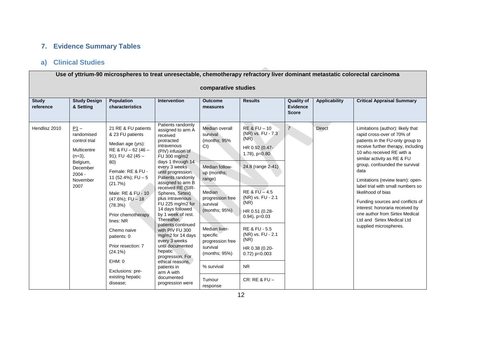## **7. Evidence Summary Tables**

# **a) Clinical Studies**

<span id="page-11-1"></span><span id="page-11-0"></span> $\sqrt{2}$ 

| Use of yttrium-90 microspheres to treat unresectable, chemotherapy refractory liver dominant metastatic colorectal carcinoma<br>comparative studies |                                                                                                   |                                                                                                                                                                                                                                                                                             |                                                                                                                                                                                                                                                                                                                                                                                                                              |                                                                                                                                                                                                        |                                                                                                                                                                                                                                                           |                                                                        |                                       |                                                                                                                                                                                                                                                                                                                                                                                                                                              |
|-----------------------------------------------------------------------------------------------------------------------------------------------------|---------------------------------------------------------------------------------------------------|---------------------------------------------------------------------------------------------------------------------------------------------------------------------------------------------------------------------------------------------------------------------------------------------|------------------------------------------------------------------------------------------------------------------------------------------------------------------------------------------------------------------------------------------------------------------------------------------------------------------------------------------------------------------------------------------------------------------------------|--------------------------------------------------------------------------------------------------------------------------------------------------------------------------------------------------------|-----------------------------------------------------------------------------------------------------------------------------------------------------------------------------------------------------------------------------------------------------------|------------------------------------------------------------------------|---------------------------------------|----------------------------------------------------------------------------------------------------------------------------------------------------------------------------------------------------------------------------------------------------------------------------------------------------------------------------------------------------------------------------------------------------------------------------------------------|
| <b>Study</b><br>reference<br>Hendlisz 2010                                                                                                          | <b>Study Design</b><br>& Setting<br>$P1 -$<br>randomised                                          | <b>Population</b><br>characteristics<br>21 RE & FU patients<br>& 23 FU patients                                                                                                                                                                                                             | <b>Intervention</b><br>Patients randomly<br>assigned to arm A<br>received                                                                                                                                                                                                                                                                                                                                                    | <b>Outcome</b><br>measures<br>Median overall<br>survival                                                                                                                                               | <b>Results</b><br>$RE & FU - 10$<br>(NR) vs. FU - 7.3                                                                                                                                                                                                     | <b>Quality of</b><br><b>Evidence</b><br><b>Score</b><br>$\overline{7}$ | <b>Applicability</b><br><b>Direct</b> | <b>Critical Appraisal Summary</b><br>Limitations (author): likely that<br>rapid cross-over of 70% of                                                                                                                                                                                                                                                                                                                                         |
|                                                                                                                                                     | control trial<br>Multicentre<br>$(n=3)$ ,<br>Belgium,<br>December<br>$2004 -$<br>November<br>2007 | Median age (yrs):<br>RE & FU - 62 (46 -<br>91); FU -62 (45 $-$<br>80)<br>Female: RE & FU -<br>11 (52.4%); $FU - 5$<br>(21.7%)<br>Male: RE & FU - 10<br>$(47.6\%)$ ; FU - 18<br>(78.3%)<br>Prior chemotherapy<br>lines: NR<br>Chemo naive<br>patients: 0<br>Prior resection: 7<br>$(24.1\%)$ | protracted<br>intravenous<br>(PIV) infusion of<br>FU 300 mg/m2<br>days 1 through 14<br>every 3 weeks<br>until progression.<br>Patients randomly<br>assigned to arm B<br>received RE (SIR-<br>Spheres, Sirtex)<br>plus intravenous<br>FU 225 mg/m2 for<br>14 days followed<br>by 1 week of rest.<br>Thereafter,<br>patients continued<br>with PIV FU 300<br>mg/m2 for 14 days<br>every 3 weeks<br>until documented<br>hepatic | (months; 95%<br>Cl<br>Median follow-<br>up (months;<br>range)<br>Median<br>progression free<br>survival<br>(months; 95%)<br>Median liver-<br>specific<br>progression free<br>survival<br>(months: 95%) | (NR)<br>HR 0.92 (0.47-<br>$1.78$ ), $p=0.80$<br>24.8 (range 2-41)<br>RE & FU - 4.5<br>(NR) vs. FU - 2.1<br>(NR)<br>HR 0.51 (0.28-<br>$0.94$ ), $p=0.03$<br><b>RE &amp; FU - 5.5</b><br>(NR) vs. FU - 2.1<br>(NR)<br>HR 0.38 (0.20-<br>$0.72$ ) p= $0.003$ |                                                                        |                                       | patients in the FU-only group to<br>receive further therapy, including<br>10 who received RE with a<br>similar activity as RE & FU<br>group, confounded the survival<br>data<br>Limitations (review team): open-<br>label trial with small numbers so<br>likelihood of bias<br>Funding sources and conflicts of<br>interest: honoraria received by<br>one author from Sirtex Medical<br>Ltd and Sirtex Medical Ltd<br>supplied microspheres. |
|                                                                                                                                                     |                                                                                                   | EHM: 0<br>Exclusions: pre-<br>existing hepatic<br>disease:                                                                                                                                                                                                                                  | progression. For<br>ethical reasons,<br>patients in<br>arm A with<br>documented<br>progression were                                                                                                                                                                                                                                                                                                                          | % survival<br>Tumour<br>response                                                                                                                                                                       | <b>NR</b><br>$CR: RE$ & $FU -$                                                                                                                                                                                                                            |                                                                        |                                       |                                                                                                                                                                                                                                                                                                                                                                                                                                              |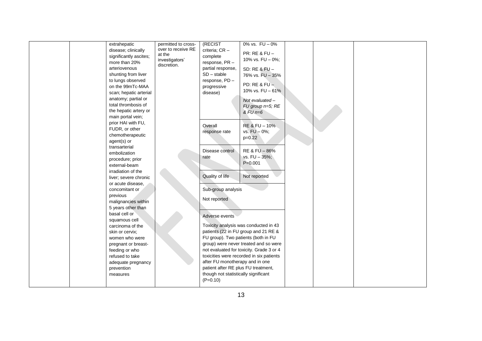|  | extrahepatic           | permitted to cross- | (RECIST                              | 0% vs. $FU - 0%$                         |  |  |
|--|------------------------|---------------------|--------------------------------------|------------------------------------------|--|--|
|  | disease; clinically    | over to receive RE  | criteria; CR -                       |                                          |  |  |
|  | significantly ascites; | at the              | complete                             | PR: RE & FU -                            |  |  |
|  | more than 20%          | investigators'      | response, PR-                        | 10% vs. FU - 0%;                         |  |  |
|  | arteriovenous          | discretion.         | partial response,                    | SD: RE & FU -                            |  |  |
|  | shunting from liver    |                     | $SD - stable$                        | 76% vs. FU - 35%                         |  |  |
|  | to lungs observed      |                     | response, PD-                        |                                          |  |  |
|  | on the 99mTc-MAA       |                     | progressive                          | PD: RE & FU $-$                          |  |  |
|  | scan; hepatic arterial |                     | disease)                             | 10% vs. FU - 61%                         |  |  |
|  | anatomy; partial or    |                     |                                      |                                          |  |  |
|  | total thrombosis of    |                     |                                      | Not evaluated -                          |  |  |
|  |                        |                     |                                      | FU group n=5; RE                         |  |  |
|  | the hepatic artery or  |                     |                                      | $&$ FU $n=6$                             |  |  |
|  | main portal vein;      |                     |                                      |                                          |  |  |
|  | prior HAI with FU,     |                     | Overall                              | RE & FU - 10%                            |  |  |
|  | FUDR, or other         |                     | response rate                        | vs. $FU - 0\%$ ;                         |  |  |
|  | chemotherapeutic       |                     |                                      | $p=0.22$                                 |  |  |
|  | agent(s) or            |                     |                                      |                                          |  |  |
|  | transarterial          |                     | Disease control                      | RE & FU - 86%                            |  |  |
|  | embolization           |                     | rate                                 | vs. FU - 35%;                            |  |  |
|  | procedure; prior       |                     |                                      | $P = 0.001$                              |  |  |
|  | external-beam          |                     |                                      |                                          |  |  |
|  | irradiation of the     |                     |                                      |                                          |  |  |
|  | liver; severe chronic  |                     | Quality of life                      | Not reported                             |  |  |
|  | or acute disease,      |                     |                                      |                                          |  |  |
|  | concomitant or         |                     | Sub-group analysis                   |                                          |  |  |
|  | previous               |                     | Not reported                         |                                          |  |  |
|  | malignancies within    |                     |                                      |                                          |  |  |
|  | 5 years other than     |                     |                                      |                                          |  |  |
|  | basal cell or          |                     | Adverse events                       |                                          |  |  |
|  | squamous cell          |                     |                                      |                                          |  |  |
|  | carcinoma of the       |                     |                                      | Toxicity analysis was conducted in 43    |  |  |
|  | skin or cervix;        |                     |                                      | patients (22 in FU group and 21 RE &     |  |  |
|  | women who were         |                     | FU group). Two patients (both in FU  |                                          |  |  |
|  | pregnant or breast-    |                     |                                      | group) were never treated and so were    |  |  |
|  | feeding or who         |                     |                                      | not evaluated for toxicity. Grade 3 or 4 |  |  |
|  | refused to take        |                     |                                      | toxicities were recorded in six patients |  |  |
|  | adequate pregnancy     |                     | after FU monotherapy and in one      |                                          |  |  |
|  | prevention             |                     | patient after RE plus FU treatment,  |                                          |  |  |
|  | measures               |                     | though not statistically significant |                                          |  |  |
|  |                        |                     | $(P=0.10)$                           |                                          |  |  |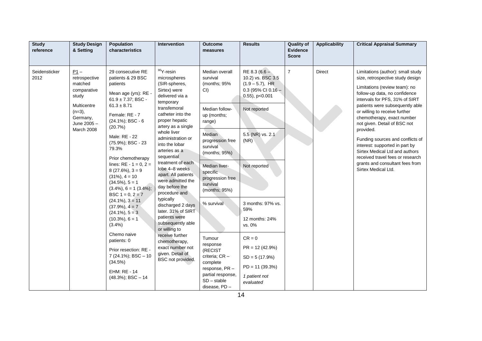| <b>Study</b><br>reference | <b>Study Design</b><br>& Setting                                                                                                | Population<br>characteristics                                                                                                                                                                                                                                                                                                                                                                                                                                                                                                                                                                                                                     | Intervention                                                                                                                                                                                                                                                                                                                                                                                                                                                                                                                                                                                                   | <b>Outcome</b><br>measures                                                                                                                                                                                                                                                                                                                                                                | <b>Results</b>                                                                                                                                                                                                                                                                                                                        | <b>Quality of</b><br><b>Evidence</b><br><b>Score</b> | <b>Applicability</b> | <b>Critical Appraisal Summary</b>                                                                                                                                                                                                                                                                                                                                                                                                                                                                                              |
|---------------------------|---------------------------------------------------------------------------------------------------------------------------------|---------------------------------------------------------------------------------------------------------------------------------------------------------------------------------------------------------------------------------------------------------------------------------------------------------------------------------------------------------------------------------------------------------------------------------------------------------------------------------------------------------------------------------------------------------------------------------------------------------------------------------------------------|----------------------------------------------------------------------------------------------------------------------------------------------------------------------------------------------------------------------------------------------------------------------------------------------------------------------------------------------------------------------------------------------------------------------------------------------------------------------------------------------------------------------------------------------------------------------------------------------------------------|-------------------------------------------------------------------------------------------------------------------------------------------------------------------------------------------------------------------------------------------------------------------------------------------------------------------------------------------------------------------------------------------|---------------------------------------------------------------------------------------------------------------------------------------------------------------------------------------------------------------------------------------------------------------------------------------------------------------------------------------|------------------------------------------------------|----------------------|--------------------------------------------------------------------------------------------------------------------------------------------------------------------------------------------------------------------------------------------------------------------------------------------------------------------------------------------------------------------------------------------------------------------------------------------------------------------------------------------------------------------------------|
| Seidensticker<br>2012     | $P1 -$<br>retrospective<br>matched<br>comparative<br>study<br>Multicentre<br>$(n=3)$ ,<br>Germany,<br>June 2005 -<br>March 2008 | 29 consecutive RE<br>patients & 29 BSC<br>patients<br>Mean age (yrs): RE -<br>$61.9 \pm 7.37$ ; BSC -<br>$61.3 \pm 8.71$<br>Female: RE - 7<br>$(24.1\%)$ ; BSC - 6<br>(20.7%)<br>Male: RE - 22<br>(75.9%); BSC - 23<br>79.3%<br>Prior chemotherapy<br>lines: $RE - 1 = 0, 2 =$<br>$8(27.6\%)$ , $3=9$<br>$(31\%), 4 = 10$<br>$(34.5\%), 5 = 1$<br>$(3.4\%), 6 = 1 (3.4\%).$<br>BSC $1 = 0, 2 = 7$<br>$(24.1\%), 3 = 11$<br>$(37.9\%), 4 = 7$<br>$(24.1\%)$ , $5 = 3$<br>$(10.3\%)$ , 6 = 1<br>$(3.4\%)$<br>Chemo naive<br>patients: 0<br>Prior resection: RE -<br>7 (24.1%); BSC - 10<br>(34.5%)<br><b>EHM: RE - 14</b><br>$(48.3\%)$ ; BSC $-14$ | <sup>90</sup> Y-resin<br>microspheres<br>(SIR-spheres,<br>Sirtex) were<br>delivered via a<br>temporary<br>transfemoral<br>catheter into the<br>proper hepatic<br>artery as a single<br>whole liver<br>administration or<br>into the lobar<br>arteries as a<br>sequential<br>treatment of each<br>lobe 4-8 weeks<br>apart. All patients<br>were admitted the<br>day before the<br>procedure and<br>typically<br>discharged 2 days<br>later. 31% of SIRT<br>patients were<br>subsequently able<br>or willing to<br>receive further<br>chemotherapy,<br>exact number not<br>given. Detail of<br>BSC not provided. | Median overall<br>survival<br>(months; 95%<br>CI<br>Median follow-<br>up (months;<br>range)<br>Median<br>progression free<br>survival<br>(months; 95%)<br>Median liver-<br>specific<br>progression free<br>survival<br>(months; 95%)<br>% survival<br>Tumour<br>response<br>(RECIST<br>criteria; CR -<br>complete<br>response, PR-<br>partial response,<br>$SD - stable$<br>disease, PD - | RE 8.3 ( $6.6 -$<br>10.2) vs. BSC 3.5<br>$(1.9 - 5.7)$ , HR<br>$0.3$ (95% CI 0.16 -<br>$0.55$ ), p< $0.001$<br>Not reported<br>5.5 (NR) vs. 2.1<br>(NR)<br>Not reported<br>3 months: 97% vs.<br>59%<br>12 months: 24%<br>vs. 0%<br>$CR = 0$<br>$PR = 12(42.9%)$<br>$SD = 5(17.9%)$<br>$PD = 11 (39.3%)$<br>1 patient not<br>evaluated | $\overline{7}$                                       | <b>Direct</b>        | Limitations (author): small study<br>size, retrospective study design<br>Limitations (review team): no<br>follow-up data, no confidence<br>intervals for PFS, 31% of SIRT<br>patients were subsequently able<br>or willing to receive further<br>chemotherapy, exact number<br>not given. Detail of BSC not<br>provided.<br>Funding sources and conflicts of<br>interest: supported in part by<br>Sirtex Medical Ltd and authors<br>received travel fees or research<br>grants and consultant fees from<br>Sirtex Medical Ltd. |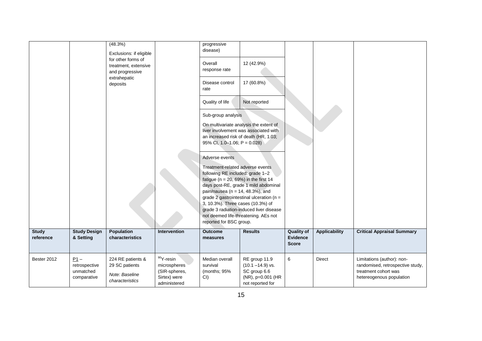|                           |                                                     | (48.3%)<br>Exclusions: if eligible<br>for other forms of<br>treatment, extensive<br>and progressive<br>extrahepatic<br>deposits |                                                                               | progressive<br>disease)<br>Overall<br>response rate<br>Disease control<br>rate<br>Quality of life<br>Sub-group analysis<br>95% CI, 1.0-1.06; $P = 0.028$ )<br>Adverse events<br>Treatment-related adverse events<br>following RE included: grade 1-2<br>fatigue ( $n = 20$ , 69%) in the first 14<br>pain/nausea ( $n = 14$ , 48.3%), and<br>3, 10.3%). Three cases (10.3%) of<br>reported for BSC group. | 12 (42.9%)<br>17 (60.8%)<br>Not reported<br>On multivariate analysis the extent of<br>liver involvement was associated with<br>an increased risk of death (HR, 1.03;<br>days post-RE, grade 1 mild abdominal<br>grade 2 gastrointestinal ulceration ( $n =$<br>grade 3 radiation-induced liver disease<br>not deemed life-threatening. AEs not |                                               |                      |                                                                                                                    |
|---------------------------|-----------------------------------------------------|---------------------------------------------------------------------------------------------------------------------------------|-------------------------------------------------------------------------------|-----------------------------------------------------------------------------------------------------------------------------------------------------------------------------------------------------------------------------------------------------------------------------------------------------------------------------------------------------------------------------------------------------------|------------------------------------------------------------------------------------------------------------------------------------------------------------------------------------------------------------------------------------------------------------------------------------------------------------------------------------------------|-----------------------------------------------|----------------------|--------------------------------------------------------------------------------------------------------------------|
| <b>Study</b><br>reference | <b>Study Design</b><br>& Setting                    | Population<br>characteristics                                                                                                   | Intervention                                                                  | <b>Outcome</b><br>measures                                                                                                                                                                                                                                                                                                                                                                                | <b>Results</b>                                                                                                                                                                                                                                                                                                                                 | <b>Quality of</b><br>Evidence<br><b>Score</b> | <b>Applicability</b> | <b>Critical Appraisal Summary</b>                                                                                  |
| Bester 2012               | $P1 -$<br>retrospective<br>unmatched<br>comparative | 224 RE patients &<br>29 SC patients<br>Note: Baseline<br>characteristics                                                        | $90Y$ -resin<br>microspheres<br>(SIR-spheres,<br>Sirtex) were<br>administered | Median overall<br>survival<br>(months; 95%<br>CI                                                                                                                                                                                                                                                                                                                                                          | RE group 11.9<br>$(10.1 - 14.9)$ vs.<br>SC group 6.6<br>(NR), p=0.001 (HR<br>not reported for                                                                                                                                                                                                                                                  | 6                                             | <b>Direct</b>        | Limitations (author): non-<br>randomised, retrospective study,<br>treatment cohort was<br>hetereogenous population |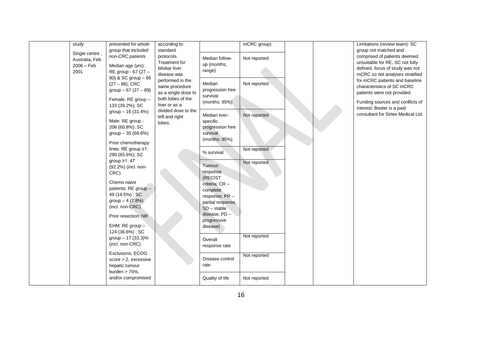| study          | presented for whole     | according to        |                   | mCRC group)  |  | Limitations (review team): SC      |
|----------------|-------------------------|---------------------|-------------------|--------------|--|------------------------------------|
|                | group that included     | standard            |                   |              |  | group not matched and              |
| Single centre, | non-CRC patients        | protocols.          | Median follow-    | Not reported |  | comprised of patients deemed       |
| Australia, Feb |                         | Treatment for       |                   |              |  | unsuitable for RE, SC not fully    |
| $2006 - Feb$   | Median age (yrs):       | bilobar liver       | up (months;       |              |  | defined, focus of study was not    |
| 2001           | RE group - 67 (27 -     | disease was         | range)            |              |  | mCRC so not analyses stratified    |
|                | 90) & SC group - 66     |                     |                   |              |  |                                    |
|                | $(27 - 88)$ ; CRC       | performed in the    | Median            | Not reported |  | for mCRC patients and baseline     |
|                | group $-67(27-89)$      | same procedure      | progression free  |              |  | characteristics of SC mCRC         |
|                |                         | as a single dose to | survival          |              |  | patients were not provided.        |
|                | Female: RE group -      | both lobes of the   | (months; 95%)     |              |  | Funding sources and conflicts of   |
|                | 133 (39.2%); SC         | liver or as a       |                   |              |  |                                    |
|                | group $-16(31.4%)$      | divided dose to the |                   |              |  | interest: Bester is a paid         |
|                |                         | left and right      | Median liver-     | Not reported |  | consultant for Sirtex Medical Ltd. |
|                | Male: RE group -        | lobes.              | specific          |              |  |                                    |
|                | 206 (60.8%); SC         |                     | progression free  |              |  |                                    |
|                | group $-35(68.6%)$      |                     | survival          |              |  |                                    |
|                |                         |                     | (months; 95%)     |              |  |                                    |
|                | Prior chemotherapy      |                     |                   |              |  |                                    |
|                | lines: RE group ≥1:     |                     | % survival        | Not reported |  |                                    |
|                | 290 (85.6%); SC         |                     |                   |              |  |                                    |
|                | group $\geq$ 1: 47      |                     |                   | Not reported |  |                                    |
|                | (92.2%) (incl. non-     |                     | Tumour            |              |  |                                    |
|                | CRC)                    |                     | response          |              |  |                                    |
|                |                         |                     | (RECIST           |              |  |                                    |
|                | Chemo naive             |                     | criteria; CR -    |              |  |                                    |
|                | patients: RE group -    |                     | complete          |              |  |                                    |
|                | 49 (14.5%); SC          |                     | response, PR -    |              |  |                                    |
|                | group $-4$ (7.8%)       |                     | partial response, |              |  |                                    |
|                | (incl. non-CRC)         |                     | $SD - stable$     |              |  |                                    |
|                |                         |                     | disease, PD -     |              |  |                                    |
|                | Prior resection: NR     |                     | progressive       |              |  |                                    |
|                | EHM: RE group -         |                     | disease)          |              |  |                                    |
|                | 124 (36.6%); SC         |                     |                   |              |  |                                    |
|                | group - 17 (33.3)%      |                     |                   | Not reported |  |                                    |
|                |                         |                     | Overall           |              |  |                                    |
|                | (incl. non-CRC)         |                     | response rate     |              |  |                                    |
|                | <b>Exclusions: ECOG</b> |                     |                   |              |  |                                    |
|                | $score > 2$ , excessive |                     | Disease control   | Not reported |  |                                    |
|                | hepatic tumour          |                     | rate              |              |  |                                    |
|                | burden $> 75%$ ,        |                     |                   |              |  |                                    |
|                | and/or compromised      |                     | Quality of life   | Not reported |  |                                    |
|                |                         |                     |                   |              |  |                                    |
|                |                         |                     |                   |              |  |                                    |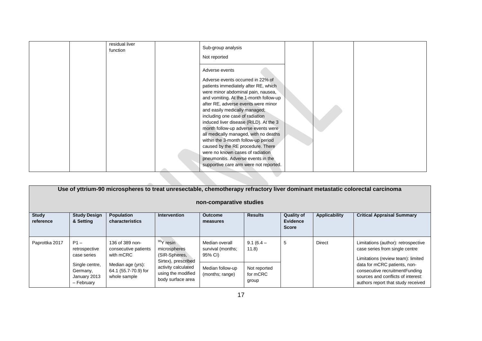| Adverse events<br>Adverse events occurred in 22% of<br>patients immediately after RE, which<br>were minor abdominal pain, nausea,<br>and vomiting. At the 1-month follow-up<br>after RE, adverse events were minor<br>and easily medically managed;<br>including one case of radiation<br>induced liver disease (RILD). At the 3<br>month follow-up adverse events were<br>all medically managed, with no deaths<br>within the 3-month follow-up period<br>caused by the RE procedure. There<br>were no known cases of radiation<br>pneumonitis. Adverse events in the<br>supportive care arm were not reported. | residual liver<br>function | Sub-group analysis<br>Not reported |  |  |
|------------------------------------------------------------------------------------------------------------------------------------------------------------------------------------------------------------------------------------------------------------------------------------------------------------------------------------------------------------------------------------------------------------------------------------------------------------------------------------------------------------------------------------------------------------------------------------------------------------------|----------------------------|------------------------------------|--|--|
|                                                                                                                                                                                                                                                                                                                                                                                                                                                                                                                                                                                                                  |                            |                                    |  |  |

| Use of yttrium-90 microspheres to treat unresectable, chemotherapy refractory liver dominant metastatic colorectal carcinoma<br>non-comparative studies |                                                          |                                                           |                                                                     |                                                |                                   |                                               |               |                                                                                                                                            |  |
|---------------------------------------------------------------------------------------------------------------------------------------------------------|----------------------------------------------------------|-----------------------------------------------------------|---------------------------------------------------------------------|------------------------------------------------|-----------------------------------|-----------------------------------------------|---------------|--------------------------------------------------------------------------------------------------------------------------------------------|--|
| <b>Study</b><br>reference                                                                                                                               | <b>Study Design</b><br>& Setting                         | <b>Population</b><br>characteristics                      | <b>Intervention</b>                                                 | <b>Outcome</b><br>measures                     | <b>Results</b>                    | <b>Quality of</b><br>Evidence<br><b>Score</b> | Applicability | <b>Critical Appraisal Summary</b>                                                                                                          |  |
| Paprottka 2017                                                                                                                                          | $P1 -$<br>retrospective<br>case series                   | 136 of 389 non-<br>consecutive patients<br>with mCRC      | $90Y$ resin<br>microspheres<br>(SIR-Spheres,<br>Sirtex), prescribed | Median overall<br>survival (months;<br>95% CI) | $9.1(6.4 -$<br>(11.8)             | 5                                             | Direct        | Limitations (author): retrospective<br>case series from single centre<br>Limitations (review team): limited                                |  |
|                                                                                                                                                         | Single centre,<br>Germany,<br>January 2013<br>- February | Median age (yrs):<br>64.1 (55.7-70.9) for<br>whole sample | activity calculated<br>using the modified<br>body surface area      | Median follow-up<br>(months; range)            | Not reported<br>for mCRC<br>group |                                               |               | data for mCRC patients, non-<br>consecutive recruitmentFunding<br>sources and conflicts of interest:<br>authors report that study received |  |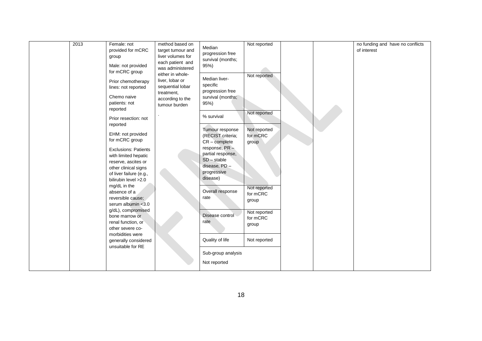| each patient and<br>Male: not provided<br>95%)<br>was administered<br>for mCRC group<br>either in whole-<br>liver, lobar or<br>Prior chemotherapy<br>sequential lobar<br>lines: not reported<br>treatment,<br>Chemo naive<br>according to the<br>patients: not<br>tumour burden<br>reported<br>Prior resection: not<br>reported<br>EHM: not provided<br>for mCRC group<br><b>Exclusions: Patients</b><br>with limited hepatic<br>reserve, ascites or<br>other clinical signs<br>of liver failure (e.g.,<br>bilirubin level > 2.0<br>mg/dL in the<br>absence of a<br>reversible cause;<br>serum albumin <3.0<br>g/dL), compromised<br>bone marrow or<br>renal function, or<br>other severe co-<br>morbidities were<br>generally considered<br>unsuitable for RE | Not reported<br>Median liver-<br>specific<br>progression free<br>survival (months;<br>95%)<br>Not reported<br>% survival<br>Not reported<br>Tumour response<br>for mCRC<br>(RECIST criteria;<br>$CR$ – complete<br>group<br>response, PR-<br>partial response,<br>$SD - stable$<br>disease, PD -<br>progressive<br>disease)<br>Not reported<br>Overall response<br>for mCRC<br>rate<br>group<br>Not reported<br>Disease control<br>for mCRC<br>rate<br>group<br>Quality of life<br>Not reported<br>Sub-group analysis<br>Not reported |  |  |
|----------------------------------------------------------------------------------------------------------------------------------------------------------------------------------------------------------------------------------------------------------------------------------------------------------------------------------------------------------------------------------------------------------------------------------------------------------------------------------------------------------------------------------------------------------------------------------------------------------------------------------------------------------------------------------------------------------------------------------------------------------------|---------------------------------------------------------------------------------------------------------------------------------------------------------------------------------------------------------------------------------------------------------------------------------------------------------------------------------------------------------------------------------------------------------------------------------------------------------------------------------------------------------------------------------------|--|--|
|----------------------------------------------------------------------------------------------------------------------------------------------------------------------------------------------------------------------------------------------------------------------------------------------------------------------------------------------------------------------------------------------------------------------------------------------------------------------------------------------------------------------------------------------------------------------------------------------------------------------------------------------------------------------------------------------------------------------------------------------------------------|---------------------------------------------------------------------------------------------------------------------------------------------------------------------------------------------------------------------------------------------------------------------------------------------------------------------------------------------------------------------------------------------------------------------------------------------------------------------------------------------------------------------------------------|--|--|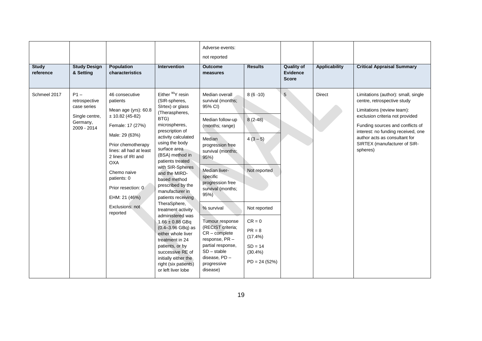|                           |                                                                                     |                                                                                                                                                                                                                                                                                                       |                                                                                                                                                                                                                                                                                                                                                                                                                                                                                                                                                                                                                    | Adverse events:<br>not reported                                                                                                                                                                                                                                                                                                                                                                          |                                                                                                                                                     |                                                      |                      |                                                                                                                                                                                                                                                                                            |
|---------------------------|-------------------------------------------------------------------------------------|-------------------------------------------------------------------------------------------------------------------------------------------------------------------------------------------------------------------------------------------------------------------------------------------------------|--------------------------------------------------------------------------------------------------------------------------------------------------------------------------------------------------------------------------------------------------------------------------------------------------------------------------------------------------------------------------------------------------------------------------------------------------------------------------------------------------------------------------------------------------------------------------------------------------------------------|----------------------------------------------------------------------------------------------------------------------------------------------------------------------------------------------------------------------------------------------------------------------------------------------------------------------------------------------------------------------------------------------------------|-----------------------------------------------------------------------------------------------------------------------------------------------------|------------------------------------------------------|----------------------|--------------------------------------------------------------------------------------------------------------------------------------------------------------------------------------------------------------------------------------------------------------------------------------------|
| <b>Study</b><br>reference | <b>Study Design</b><br>& Setting                                                    | Population<br>characteristics                                                                                                                                                                                                                                                                         | Intervention                                                                                                                                                                                                                                                                                                                                                                                                                                                                                                                                                                                                       | <b>Outcome</b><br>measures                                                                                                                                                                                                                                                                                                                                                                               | <b>Results</b>                                                                                                                                      | <b>Quality of</b><br><b>Evidence</b><br><b>Score</b> | <b>Applicability</b> | <b>Critical Appraisal Summary</b>                                                                                                                                                                                                                                                          |
| Schmeel 2017              | $P1 -$<br>retrospective<br>case series<br>Single centre,<br>Germany,<br>2009 - 2014 | 46 consecutive<br>patients<br>Mean age (yrs): 60.8<br>$± 10.82(45-82)$<br>Female: 17 (27%)<br>Male: 29 (63%)<br>Prior chemotherapy<br>lines: all had at least<br>2 lines of IRI and<br><b>OXA</b><br>Chemo naive<br>patients: 0<br>Prior resection: 0<br>EHM: 21 (46%)<br>Exclusions: not<br>reported | Either <sup>90</sup> Y resin<br>(SIR-spheres,<br>SIrtex) or glass<br>(Theraspheres,<br>BTG)<br>microspheres,<br>prescription of<br>activity calculated<br>using the body<br>surface area<br>(BSA) method in<br>patients treated<br>with SIR-Spheres<br>and the MIRD-<br>based method<br>prescribed by the<br>manufacturer in<br>patients receiving<br>TheraSphere,<br>treatment activity<br>administered was<br>$1.66 \pm 0.88$ GBq<br>$(0.4 - 3.96$ GBq) as<br>either whole liver<br>treatment in 24<br>patients, or by<br>successive RE of<br>initially either the<br>right (six patients)<br>or left liver lobe | Median overall<br>survival (months;<br>95% CI)<br>Median follow-up<br>(months; range)<br>Median<br>progression free<br>survival (months;<br>95%<br>Median liver-<br>specific<br>progression free<br>survival (months;<br>95%<br>% survival<br>Tumour response<br>(RECIST criteria;<br>$CR$ – complete<br>response, PR-<br>partial response,<br>$SD - stable$<br>disease, PD -<br>progressive<br>disease) | $8(6-10)$<br>$8(2-48)$<br>$4(3-5)$<br>Not reported<br>Not reported<br>$CR = 0$<br>$PR = 8$<br>(17.4%)<br>$SD = 14$<br>$(30.4\%)$<br>$PD = 24 (52%)$ | 5                                                    | <b>Direct</b>        | Limitations (author): small, single<br>centre, retrospective study<br>Limitations (review team):<br>exclusion criteria not provided<br>Funding sources and conflicts of<br>interest: no funding received, one<br>author acts as consultant for<br>SIRTEX (manufacturer of SIR-<br>spheres) |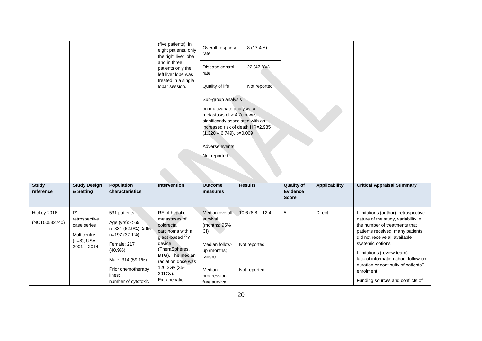|                              |                                                       |                                                                                   | (five patients), in<br>eight patients, only<br>the right liver lobe                             | Overall response<br>rate                                                                                                                                                           | 8 (17.4%)                        |                                               |                      |                                                                                                                                                                                  |
|------------------------------|-------------------------------------------------------|-----------------------------------------------------------------------------------|-------------------------------------------------------------------------------------------------|------------------------------------------------------------------------------------------------------------------------------------------------------------------------------------|----------------------------------|-----------------------------------------------|----------------------|----------------------------------------------------------------------------------------------------------------------------------------------------------------------------------|
|                              |                                                       |                                                                                   | and in three<br>patients only the<br>left liver lobe was                                        | Disease control<br>rate                                                                                                                                                            | 22 (47.8%)                       |                                               |                      |                                                                                                                                                                                  |
|                              |                                                       |                                                                                   | treated in a single<br>lobar session.                                                           | Quality of life                                                                                                                                                                    | Not reported                     |                                               |                      |                                                                                                                                                                                  |
|                              |                                                       |                                                                                   |                                                                                                 | Sub-group analysis<br>on multivariate analysis a<br>metastasis of > 4.7cm was<br>significantly associated with an<br>$(1.320 - 6.749)$ , p=0.009<br>Adverse events<br>Not reported | increased risk of death HR=2.985 |                                               |                      |                                                                                                                                                                                  |
| <b>Study</b><br>reference    | <b>Study Design</b><br>& Setting                      | Population<br>characteristics                                                     | <b>Intervention</b>                                                                             | <b>Outcome</b><br>measures                                                                                                                                                         | <b>Results</b>                   | <b>Quality of</b><br>Evidence<br><b>Score</b> | <b>Applicability</b> | <b>Critical Appraisal Summary</b>                                                                                                                                                |
| Hickey 2016<br>(NCT00532740) | $P1 -$<br>retrospective<br>case series<br>Multicentre | 531 patients<br>Age (yrs): $< 65$<br>$n=334(62.9\%)$ , $\geq 65$<br>n=197 (37.1%) | RE of hepatic<br>metastases of<br>colorectal<br>carcinoma with a<br>glass-based <sup>90</sup> Y | Median overall<br>survival<br>(months; 95%<br>$CI$ )                                                                                                                               | $10.6(8.8 - 12.4)$               | 5                                             | <b>Direct</b>        | Limitations (author): retrospective<br>nature of the study, variability in<br>the number of treatments that<br>patients received, many patients<br>did not receive all available |
|                              | $(n=8)$ , USA,<br>$2001 - 2014$                       | device<br>Female: 217<br>$(40.9\%)$<br>Male: 314 (59.1%)                          | (TheraSpheres,<br>BTG). The median<br>radiation dose was                                        | Median follow-<br>up (months;<br>range)                                                                                                                                            | Not reported                     |                                               |                      | systemic options<br>Limitations (review team):<br>lack of information about follow-up                                                                                            |
|                              |                                                       | Prior chemotherapy<br>lines:<br>number of cytotoxic                               | 120.2Gy (35-<br>391Gy).<br>Extrahepatic                                                         | Median<br>progression<br>free survival                                                                                                                                             | Not reported                     |                                               |                      | duration or continuity of patients"<br>enrolment<br>Funding sources and conflicts of                                                                                             |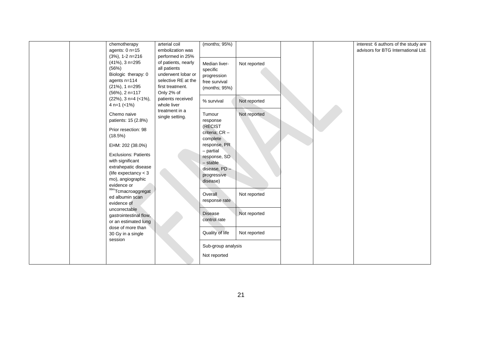| chemotherapy                 | arterial coil       | (months; 95%)            |              |  | interest: 6 authors of the study are |
|------------------------------|---------------------|--------------------------|--------------|--|--------------------------------------|
| agents: 0 n=15               | embolization was    |                          |              |  | advisors for BTG International Ltd.  |
| $(3%)$ , 1-2 n=216           | performed in 25%    |                          |              |  |                                      |
| (41%), 3 n=295               | of patients, nearly | Median liver-            | Not reported |  |                                      |
| (56%)                        | all patients        | specific                 |              |  |                                      |
| Biologic therapy: 0          | underwent lobar or  | progression              |              |  |                                      |
| agents n=114                 | selective RE at the | free survival            |              |  |                                      |
| (21%), 1 n=295               | first treatment.    | (months; 95%)            |              |  |                                      |
| (56%), 2 n=117               | Only 2% of          |                          |              |  |                                      |
| $(22\%)$ , 3 n=4 (<1%),      | patients received   |                          |              |  |                                      |
| 4 $n=1$ (<1%)                | whole liver         | % survival               | Not reported |  |                                      |
|                              | treatment in a      |                          |              |  |                                      |
| Chemo naive                  | single setting.     | Tumour                   | Not reported |  |                                      |
| patients: 15 (2.8%)          |                     | response                 |              |  |                                      |
| Prior resection: 98          |                     | (RECIST                  |              |  |                                      |
| (18.5%)                      |                     | criteria; CR -           |              |  |                                      |
|                              |                     | complete<br>response, PR |              |  |                                      |
| EHM: 202 (38.0%)             |                     | - partial                |              |  |                                      |
| <b>Exclusions: Patients</b>  |                     | response, SD             |              |  |                                      |
| with significant             |                     | $-$ stable               |              |  |                                      |
| extrahepatic disease         |                     | disease, PD -            |              |  |                                      |
| (life expectancy $<$ 3       |                     | progressive              |              |  |                                      |
| mo), angiographic            |                     | disease)                 |              |  |                                      |
| evidence or                  |                     |                          |              |  |                                      |
| 99mTcmacroaggregat           |                     | Overall                  | Not reported |  |                                      |
| ed albumin scan              |                     | response rate            |              |  |                                      |
| evidence of                  |                     |                          |              |  |                                      |
| uncorrectable                |                     | <b>Disease</b>           | Not reported |  |                                      |
| gastrointestinal flow,       |                     | control rate             |              |  |                                      |
| or an estimated lung         |                     |                          |              |  |                                      |
| dose of more than            |                     | Quality of life          | Not reported |  |                                      |
| 30 Gy in a single<br>session |                     |                          |              |  |                                      |
|                              |                     | Sub-group analysis       |              |  |                                      |
|                              |                     |                          |              |  |                                      |
|                              |                     | Not reported             |              |  |                                      |
|                              |                     |                          |              |  |                                      |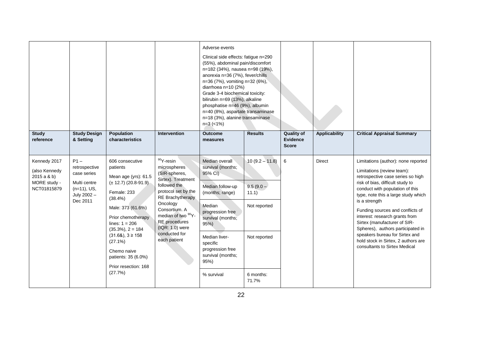|                                                                            |                                                                                                     |                                                                                                                                                                                                                                                                                                                |                                                                                                                                                                                                                                                                  | Adverse events<br>Clinical side effects: fatigue n=290<br>(55%), abdominal pain/discomfort<br>n=182 (34%), nausea n=98 (19%),<br>anorexia n=36 (7%), fever/chills<br>n=36 (7%), vomiting n=32 (6%),<br>diarrhoea $n=10(2%)$<br>Grade 3-4 biochemical toxicity:<br>bilirubin n=69 (13%), alkaline<br>phosphatise n=46 (9%), albumin<br>n=40 (8%), aspartate transaminase<br>n=18 (3%), alanine transaminase<br>$n=3$ (<1%) |                                                                                                |                                                      |               |                                                                                                                                                                                                                                                                                                                                                                                                                                                                                            |
|----------------------------------------------------------------------------|-----------------------------------------------------------------------------------------------------|----------------------------------------------------------------------------------------------------------------------------------------------------------------------------------------------------------------------------------------------------------------------------------------------------------------|------------------------------------------------------------------------------------------------------------------------------------------------------------------------------------------------------------------------------------------------------------------|---------------------------------------------------------------------------------------------------------------------------------------------------------------------------------------------------------------------------------------------------------------------------------------------------------------------------------------------------------------------------------------------------------------------------|------------------------------------------------------------------------------------------------|------------------------------------------------------|---------------|--------------------------------------------------------------------------------------------------------------------------------------------------------------------------------------------------------------------------------------------------------------------------------------------------------------------------------------------------------------------------------------------------------------------------------------------------------------------------------------------|
| <b>Study</b><br>reference                                                  | <b>Study Design</b><br>& Setting                                                                    | <b>Population</b><br>characteristics                                                                                                                                                                                                                                                                           | <b>Intervention</b>                                                                                                                                                                                                                                              | <b>Outcome</b><br>measures                                                                                                                                                                                                                                                                                                                                                                                                | <b>Results</b>                                                                                 | <b>Quality of</b><br><b>Evidence</b><br><b>Score</b> | Applicability | <b>Critical Appraisal Summary</b>                                                                                                                                                                                                                                                                                                                                                                                                                                                          |
| Kennedy 2017<br>(also Kennedy<br>2015a & b)<br>MORE study -<br>NCT01815879 | $P1 -$<br>retrospective<br>case series<br>Multi centre<br>$(n=11)$ , US,<br>July 2002 -<br>Dec 2011 | 606 consecutive<br>patients<br>Mean age (yrs): 61.5<br>$(\pm 12.7)$ (20.8-91.9)<br>Female: 233<br>$(38.4\%)$<br>Male: 373 (61.6%)<br>Prior chemotherapy<br>lines: $1 = 206$<br>$(35.3\%), 2 = 184$<br>$(31.68), 3 \ge 158$<br>(27.1%)<br>Chemo naive<br>patients: 35 (6.0%)<br>Prior resection: 168<br>(27.7%) | $90Y$ -resin<br>microspheres<br>(SIR-spheres,<br>Sirtex). Treatment<br>followed the<br>protocol set by the<br><b>RE Brachytherapy</b><br>Oncology<br>Consortium. A<br>median of two 90Y-<br>RE procedures<br>$( IQR: 1.0)$ were<br>conducted for<br>each patient | Median overall<br>survival (months;<br>95% CI)<br>Median follow-up<br>(months; range)<br>Median<br>progression free<br>survival (months;<br>95%<br>Median liver-<br>specific<br>progression free<br>survival (months;<br>95%)<br>% survival                                                                                                                                                                               | $10(9.2 - 11.8)$<br>$9.5(9.0 -$<br>11.1)<br>Not reported<br>Not reported<br>6 months:<br>71.7% | 6                                                    | <b>Direct</b> | Limitations (author): none reported<br>Limitations (review team):<br>retrospective case series so high<br>risk of bias, difficult study to<br>conduct with population of this<br>type, note this a large study which<br>is a strength<br>Funding sources and conflicts of<br>interest: research grants from<br>Sirtex (manufacturer of SIR-<br>Spheres), authors participated in<br>speakers bureau for Sirtex and<br>hold stock in Sirtex, 2 authors are<br>consultants to Sirtex Medical |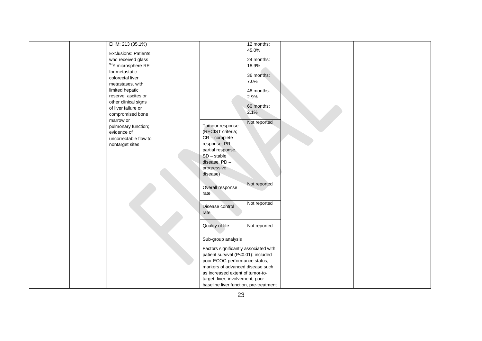|  | EHM: 213 (35.1%)            |                                        | 12 months:   |  |  |
|--|-----------------------------|----------------------------------------|--------------|--|--|
|  |                             |                                        | 45.0%        |  |  |
|  | <b>Exclusions: Patients</b> |                                        |              |  |  |
|  | who received glass          |                                        | 24 months:   |  |  |
|  | $90$ Y microsphere RE       |                                        | 18.9%        |  |  |
|  | for metastatic              |                                        | 36 months:   |  |  |
|  | colorectal liver            |                                        | 7.0%         |  |  |
|  | metastases, with            |                                        |              |  |  |
|  | limited hepatic             |                                        | 48 months:   |  |  |
|  | reserve, ascites or         |                                        | 2.9%         |  |  |
|  | other clinical signs        |                                        |              |  |  |
|  | of liver failure or         |                                        | 60 months:   |  |  |
|  | compromised bone            |                                        | 2.1%         |  |  |
|  | marrow or                   |                                        |              |  |  |
|  | pulmonary function;         | Tumour response                        | Not reported |  |  |
|  | evidence of                 | (RECIST criteria;                      |              |  |  |
|  |                             | $CR$ – complete                        |              |  |  |
|  | uncorrectable flow to       | response, PR-                          |              |  |  |
|  | nontarget sites             |                                        |              |  |  |
|  |                             | partial response,                      |              |  |  |
|  |                             | $SD - stable$                          |              |  |  |
|  |                             | disease, PD -                          |              |  |  |
|  |                             | progressive                            |              |  |  |
|  |                             | disease)                               |              |  |  |
|  |                             |                                        | Not reported |  |  |
|  |                             | Overall response                       |              |  |  |
|  |                             | rate                                   |              |  |  |
|  |                             |                                        |              |  |  |
|  |                             | Disease control                        | Not reported |  |  |
|  |                             | rate                                   |              |  |  |
|  |                             |                                        |              |  |  |
|  |                             |                                        |              |  |  |
|  |                             | Quality of life                        | Not reported |  |  |
|  |                             |                                        |              |  |  |
|  |                             | Sub-group analysis                     |              |  |  |
|  |                             | Factors significantly associated with  |              |  |  |
|  |                             | patient survival (P<0.01): included    |              |  |  |
|  |                             | poor ECOG performance status,          |              |  |  |
|  |                             | markers of advanced disease such       |              |  |  |
|  |                             |                                        |              |  |  |
|  |                             | as increased extent of tumor-to-       |              |  |  |
|  |                             | target liver, involvement, poor        |              |  |  |
|  |                             | baseline liver function, pre-treatment |              |  |  |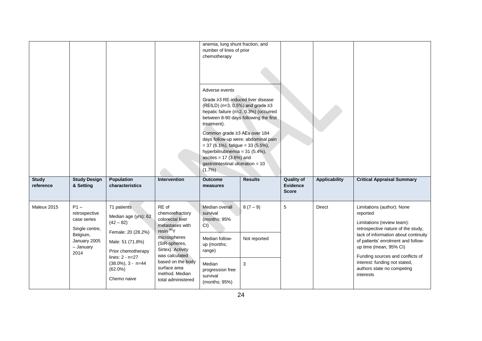|                                                                                                                          |                                                                                                                                                                    |                                                                                                                                                                                                       | anemia, lung shunt fraction, and<br>number of lines of prior<br>chemotherapy<br>Adverse events<br>Grade ≥3 RE-induced liver disease<br>(REILD) ( $n=3$ , 0.5%) and grade $\geq 3$<br>treatment).<br>Common grade ≥3 AEs over 184<br>$= 37 (6.1\%)$ , fatigue $= 33 (5.5\%).$<br>hyperbilirubinemia = 31 (5.4%),<br>ascites = $17(3.6%)$ and<br>gastrointestinal ulceration = 10<br>(1.7%) | hepatic failure (n=2, 0.3%) (occurred<br>between 8-90 days following the first<br>days follow-up were: abdominal pain |                                                      |                      |                                                                                                                                                                                                                                                                                                                       |
|--------------------------------------------------------------------------------------------------------------------------|--------------------------------------------------------------------------------------------------------------------------------------------------------------------|-------------------------------------------------------------------------------------------------------------------------------------------------------------------------------------------------------|-------------------------------------------------------------------------------------------------------------------------------------------------------------------------------------------------------------------------------------------------------------------------------------------------------------------------------------------------------------------------------------------|-----------------------------------------------------------------------------------------------------------------------|------------------------------------------------------|----------------------|-----------------------------------------------------------------------------------------------------------------------------------------------------------------------------------------------------------------------------------------------------------------------------------------------------------------------|
| <b>Study Design</b><br><b>Study</b><br>& Setting<br>reference                                                            | <b>Population</b><br>characteristics                                                                                                                               | Intervention                                                                                                                                                                                          | <b>Outcome</b><br>measures                                                                                                                                                                                                                                                                                                                                                                | <b>Results</b>                                                                                                        | <b>Quality of</b><br><b>Evidence</b><br><b>Score</b> | <b>Applicability</b> | <b>Critical Appraisal Summary</b>                                                                                                                                                                                                                                                                                     |
| $P1 -$<br>Maleux 2015<br>retrospective<br>case series<br>Single centre,<br>Belgium,<br>January 2005<br>- January<br>2014 | 71 patients<br>Median age (yrs): 62<br>$(42 - 82)$<br>Female: 20 (28.2%)<br>Male: 51 (71.8%)<br>Prior chemotherapy<br>lines: $2 - n = 27$<br>$(38.0\%)$ , 3 - n=44 | RE of<br>chemorefractory<br>colorectal liver<br>metastases with<br>resin <sup>90</sup> Y<br>microspheres<br>(SIR-spheres,<br>Sirtex). Activity<br>was calculated<br>based on the body<br>surface area | Median overall<br>survival<br>(months; 95%<br>CI()<br>Median follow-<br>up (months;<br>range)<br>Median                                                                                                                                                                                                                                                                                   | $8(7-9)$<br>Not reported<br>3                                                                                         | 5                                                    | Direct               | Limitations (author): None<br>reported<br>Limitations (review team):<br>retrospective nature of the study,<br>lack of information about continuity<br>of patients' enrolment and follow-<br>up time (mean, 95% CI)<br>Funding sources and conflicts of<br>interest: funding not stated,<br>authors state no competing |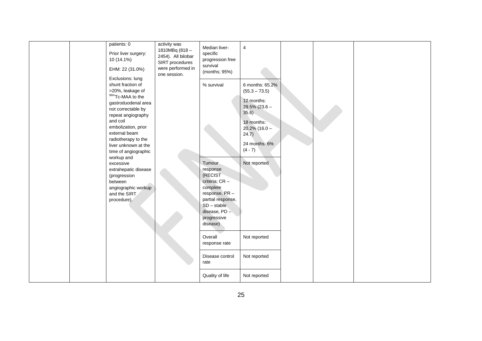| patients: 0<br>Prior liver surgery:<br>10 (14.1%)<br>EHM: 22 (31.0%)                                                                                                                                                                                                                                                                                                                                            | activity was<br>1810MBq (818-<br>2454). All bilobar<br>SIRT procedures<br>were performed in<br>one session. | Median liver-<br>specific<br>progression free<br>survival<br>(months; 95%)                                                                                                   | 4                                                                                                                                                                     |  |  |
|-----------------------------------------------------------------------------------------------------------------------------------------------------------------------------------------------------------------------------------------------------------------------------------------------------------------------------------------------------------------------------------------------------------------|-------------------------------------------------------------------------------------------------------------|------------------------------------------------------------------------------------------------------------------------------------------------------------------------------|-----------------------------------------------------------------------------------------------------------------------------------------------------------------------|--|--|
| Exclusions: lung<br>shunt fraction of<br>>20%, leakage of<br>99mTc-MAA to the<br>gastroduodenal area<br>not correctable by<br>repeat angiography<br>and coil<br>embolization, prior<br>external beam<br>radiotherapy to the<br>liver unknown at the<br>time of angiographic<br>workup and<br>excessive<br>extrahepatic disease<br>(progression<br>between<br>angiographic workup<br>and the SIRT<br>procedure). |                                                                                                             | % survival<br>Tumour<br>response<br>(RECIST<br>criteria; CR -<br>complete<br>response, PR-<br>partial response,<br>$SD - stable$<br>disease, PD -<br>progressive<br>disease) | 6 months: 65.2%<br>$(55.3 - 73.5)$<br>12 months:<br>$29.5\%$ (23.6 -<br>35.6<br>18 months:<br>$20.2\%$ (16.0 -<br>24.7)<br>24 months: 6%<br>$(4 - 7)$<br>Not reported |  |  |
|                                                                                                                                                                                                                                                                                                                                                                                                                 |                                                                                                             | Overall<br>response rate                                                                                                                                                     | Not reported                                                                                                                                                          |  |  |
|                                                                                                                                                                                                                                                                                                                                                                                                                 |                                                                                                             | Disease control<br>rate                                                                                                                                                      | Not reported                                                                                                                                                          |  |  |
|                                                                                                                                                                                                                                                                                                                                                                                                                 |                                                                                                             | Quality of life                                                                                                                                                              | Not reported                                                                                                                                                          |  |  |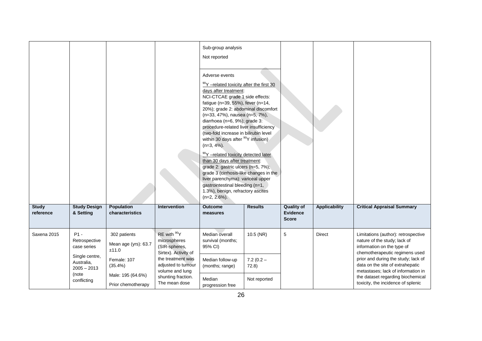|                           |                                                        |                                               |                                                                                  | Sub-group analysis<br>Not reported<br>Adverse events<br><sup>90</sup> Y -related toxicity after the first 30<br>days after treatment:<br>NCI-CTCAE grade 1 side effects:<br>fatigue (n=39, 55%), fever (n=14,<br>20%); grade 2: abdominal discomfort<br>(n=33, 47%), nausea (n=5, 7%),<br>diarrhoea (n=6, 9%); grade 3:<br>procedure-related liver insufficiency<br>(two-fold increase in bilirubin level<br>within 30 days after <sup>90</sup> Y infusion)<br>$(n=3, 4\%).$<br>90Y -related toxicity detected later<br>than 30 days after treatment:<br>grade 2: gastric ulcers (n=5, 7%);<br>grade 3 (cirrhosis-like changes in the<br>liver parenchyma): variceal upper<br>gastrointestinal bleeding (n=1,<br>1.3%), benign, refractory ascites<br>$(n=2, 2.6\%)$ . |                      |                                                      |                      |                                                                                                                                     |
|---------------------------|--------------------------------------------------------|-----------------------------------------------|----------------------------------------------------------------------------------|------------------------------------------------------------------------------------------------------------------------------------------------------------------------------------------------------------------------------------------------------------------------------------------------------------------------------------------------------------------------------------------------------------------------------------------------------------------------------------------------------------------------------------------------------------------------------------------------------------------------------------------------------------------------------------------------------------------------------------------------------------------------|----------------------|------------------------------------------------------|----------------------|-------------------------------------------------------------------------------------------------------------------------------------|
| <b>Study</b><br>reference | <b>Study Design</b><br>& Setting                       | Population<br>characteristics                 | <b>Intervention</b>                                                              | <b>Outcome</b><br>measures                                                                                                                                                                                                                                                                                                                                                                                                                                                                                                                                                                                                                                                                                                                                             | <b>Results</b>       | <b>Quality of</b><br><b>Evidence</b><br><b>Score</b> | <b>Applicability</b> | <b>Critical Appraisal Summary</b>                                                                                                   |
| Saxena 2015               | $P1 -$<br>Retrospective<br>case series                 | 302 patients<br>Mean age (yrs): 63.7<br>±11.0 | RE with <sup>90</sup> Y<br>microspheres<br>(SIR-spheres,<br>Sirtex). Activity of | Median overall<br>survival (months;<br>95% CI)                                                                                                                                                                                                                                                                                                                                                                                                                                                                                                                                                                                                                                                                                                                         | 10.5 (NR)            | 5                                                    | <b>Direct</b>        | Limitations (author): retrospective<br>nature of the study; lack of<br>information on the type of<br>chemotherapeutic regimens used |
|                           | Single centre,<br>Australia,<br>$2005 - 2013$<br>(note | Female: 107<br>$(35.4\%)$                     | the treatment was<br>adjusted to tumour<br>volume and lung                       | Median follow-up<br>(months; range)                                                                                                                                                                                                                                                                                                                                                                                                                                                                                                                                                                                                                                                                                                                                    | $7.2(0.2 -$<br>72.8) |                                                      |                      | prior and during the study; lack of<br>data on the site of extrahepatic<br>metastases; lack of information in                       |
|                           | conflicting                                            | Male: 195 (64.6%)<br>Prior chemotherapy       | shunting fraction.<br>The mean dose                                              | Median<br>progression free                                                                                                                                                                                                                                                                                                                                                                                                                                                                                                                                                                                                                                                                                                                                             | Not reported         |                                                      |                      | the dataset regarding biochemical<br>toxicity, the incidence of splenic                                                             |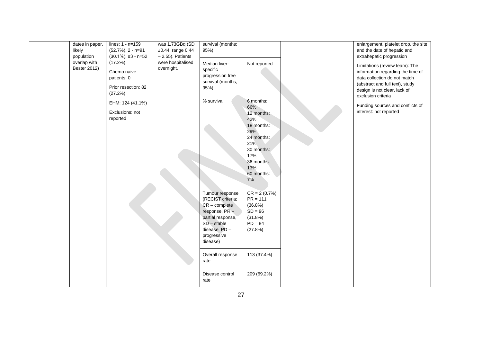| dates in paper,<br>likely<br>population | lines: $1 - n = 159$<br>$(52.7\%)$ , 2 - n=91<br>$(30.1\%)$ , $\geq$ 3 - n=52 | was 1.73GBq (SD<br>±0.44, range 0.44<br>$-2.55$ ). Patients | survival (months;<br>95%)                                                                                                                                  |                                                                                                                                               |  | enlargement, platelet drop, the site<br>and the date of hepatic and<br>extrahepatic progression                                                                        |
|-----------------------------------------|-------------------------------------------------------------------------------|-------------------------------------------------------------|------------------------------------------------------------------------------------------------------------------------------------------------------------|-----------------------------------------------------------------------------------------------------------------------------------------------|--|------------------------------------------------------------------------------------------------------------------------------------------------------------------------|
| overlap with<br><b>Bester 2012)</b>     | (17.2%)<br>Chemo naive<br>patients: 0<br>Prior resection: 82<br>(27.2%)       | were hospitalised<br>overnight.                             | Median liver-<br>specific<br>progression free<br>survival (months;<br>95%)                                                                                 | Not reported                                                                                                                                  |  | Limitations (review team): The<br>information regarding the time of<br>data collection do not match<br>(abstract and full text), study<br>design is not clear, lack of |
|                                         | EHM: 124 (41.1%)<br>Exclusions: not<br>reported                               |                                                             | % survival                                                                                                                                                 | 6 months:<br>66%<br>12 months:<br>42%<br>18 months:<br>29%<br>24 months:<br>21%<br>30 months:<br>17%<br>36 months:<br>13%<br>60 months:<br>7% |  | exclusion criteria<br>Funding sources and conflicts of<br>interest: not reported                                                                                       |
|                                         |                                                                               |                                                             | Tumour response<br>(RECIST criteria;<br>$CR$ – complete<br>response, PR-<br>partial response,<br>$SD - stable$<br>disease, PD -<br>progressive<br>disease) | $CR = 2 (0.7%)$<br>$PR = 111$<br>$(36.8\%)$<br>$SD = 96$<br>(31.8%)<br>$PD = 84$<br>(27.8%)                                                   |  |                                                                                                                                                                        |
|                                         |                                                                               |                                                             | Overall response<br>rate<br>Disease control<br>rate                                                                                                        | 113 (37.4%)<br>209 (69.2%)                                                                                                                    |  |                                                                                                                                                                        |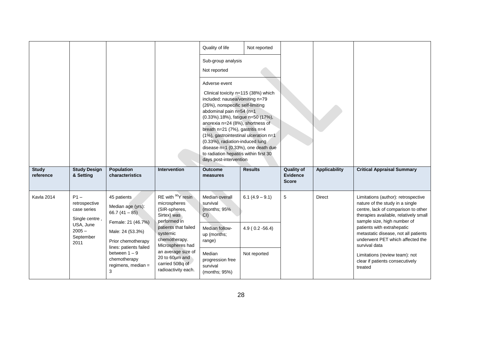|                           |                                                          |                                                                                        |                                                                                               | Quality of life                                                                                                                                                                                                                                                                                                                                                                                                                                          | Not reported      |                                               |                      |                                                                                                                                                                                       |
|---------------------------|----------------------------------------------------------|----------------------------------------------------------------------------------------|-----------------------------------------------------------------------------------------------|----------------------------------------------------------------------------------------------------------------------------------------------------------------------------------------------------------------------------------------------------------------------------------------------------------------------------------------------------------------------------------------------------------------------------------------------------------|-------------------|-----------------------------------------------|----------------------|---------------------------------------------------------------------------------------------------------------------------------------------------------------------------------------|
|                           |                                                          |                                                                                        |                                                                                               | Sub-group analysis<br>Not reported                                                                                                                                                                                                                                                                                                                                                                                                                       |                   |                                               |                      |                                                                                                                                                                                       |
|                           |                                                          |                                                                                        |                                                                                               | Adverse event<br>Clinical toxicity n=115 (38%) which<br>included: nausea/vomiting n=79<br>(26%), nonspecific self-limiting<br>abdominal pain n=54 (n=1<br>(0.33%).18%), fatigue n=50 (17%),<br>anorexia n=24 (8%), shortness of<br>breath n=21 (7%), gastritis n=4<br>(1%), gastrointestinal ulceration n=1<br>(0.33%), radiation-induced lung<br>disease n=1 (0.33%), one death due<br>to radiation hepatitis within first 30<br>days post-intervention |                   |                                               |                      |                                                                                                                                                                                       |
| <b>Study</b><br>reference | <b>Study Design</b><br>& Setting                         | <b>Population</b><br>characteristics                                                   | <b>Intervention</b>                                                                           | <b>Outcome</b><br>measures                                                                                                                                                                                                                                                                                                                                                                                                                               | <b>Results</b>    | <b>Quality of</b><br>Evidence<br><b>Score</b> | <b>Applicability</b> | <b>Critical Appraisal Summary</b>                                                                                                                                                     |
| Kavla 2014                | $P1 -$<br>retrospective<br>case series<br>Single centre, | 45 patients<br>Median age (yrs):<br>$66.7(41 - 85)$                                    | RE with <sup>90</sup> Y resin<br>microspheres<br>(SIR-spheres,<br>Sirtex) was<br>performed in | Median overall<br>survival<br>(months: 95%<br>$CI$ )                                                                                                                                                                                                                                                                                                                                                                                                     | $6.1(4.9 - 9.1)$  | 5                                             | <b>Direct</b>        | Limitations (author): retrospective<br>nature of the study in a single<br>centre, lack of comparison to other<br>therapies available, relatively small<br>sample size, high number of |
|                           | USA, June<br>$2005 -$<br>September<br>2011               | Female: 21 (46.7%)<br>Male: 24 (53.3%)<br>Prior chemotherapy<br>lines: patients failed | patients that failed<br>systemic<br>chemotherapy.<br>Microspheres had                         | Median follow-<br>up (months;<br>range)                                                                                                                                                                                                                                                                                                                                                                                                                  | $4.9(0.2 - 56.4)$ |                                               |                      | patients with extrahepatic<br>metastatic disease, not all patients<br>underwent PET which affected the<br>survival data                                                               |
|                           |                                                          | between $1 - 9$                                                                        | an average size of                                                                            | Median                                                                                                                                                                                                                                                                                                                                                                                                                                                   | Not reported      |                                               |                      |                                                                                                                                                                                       |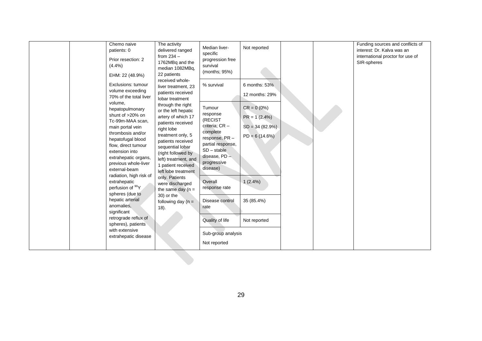| through the right<br>$CR = 0 (0\%)$<br>Tumour<br>hepatopulmonary<br>or the left hepatic<br>response<br>shunt of >20% on<br>artery of which 17<br>$PR = 1 (2.4%)$<br>(RECIST<br>Tc-99m-MAA scan,<br>patients received<br>criteria: CR -<br>$SD = 34 (82.9%)$<br>main portal vein<br>right lobe<br>complete<br>thrombosis and/or<br>treatment only, 5<br>$PD = 6(14.6%)$<br>response, PR-<br>hepatofugal blood<br>patients received<br>partial response,<br>flow, direct tumour<br>sequential lobar<br>$SD - stable$<br>extension into<br>(right followed by<br>disease, PD -<br>extrahepatic organs,<br>left) treatment, and<br>progressive<br>previous whole-liver<br>1 patient received<br>disease)<br>external-beam<br>left lobe treatment<br>radiation, high risk of<br>only. Patients<br>$1(2.4\%)$<br>extrahepatic<br>Overall<br>were discharged<br>perfusion of <sup>90</sup> Y<br>response rate<br>the same day $(n =$<br>spheres (due to<br>30) or the<br>hepatic arterial<br>35 (85.4%)<br>Disease control<br>following day $(n =$<br>anomalies,<br>rate<br>18).<br>significant<br>retrograde reflux of<br>Quality of life<br>Not reported<br>spheres), patients<br>with extensive<br>Sub-group analysis<br>extrahepatic disease<br>Not reported |
|-----------------------------------------------------------------------------------------------------------------------------------------------------------------------------------------------------------------------------------------------------------------------------------------------------------------------------------------------------------------------------------------------------------------------------------------------------------------------------------------------------------------------------------------------------------------------------------------------------------------------------------------------------------------------------------------------------------------------------------------------------------------------------------------------------------------------------------------------------------------------------------------------------------------------------------------------------------------------------------------------------------------------------------------------------------------------------------------------------------------------------------------------------------------------------------------------------------------------------------------------------------|
|-----------------------------------------------------------------------------------------------------------------------------------------------------------------------------------------------------------------------------------------------------------------------------------------------------------------------------------------------------------------------------------------------------------------------------------------------------------------------------------------------------------------------------------------------------------------------------------------------------------------------------------------------------------------------------------------------------------------------------------------------------------------------------------------------------------------------------------------------------------------------------------------------------------------------------------------------------------------------------------------------------------------------------------------------------------------------------------------------------------------------------------------------------------------------------------------------------------------------------------------------------------|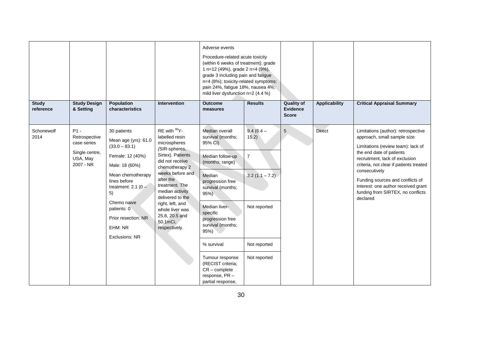|                           |                                                                                   |                                                                                                                                                                                                                                                            |                                                                                                                                                                                                                                                                                                                       | Adverse events<br>Procedure-related acute toxicity<br>(within 6 weeks of treatment): grade<br>1 n=12 (49%), grade 2 n=4 (9%),<br>grade 3 including pain and fatigue<br>n=4 (8%); toxicity-related symptoms:<br>pain 24%, fatigue 18%, nausea 4%;<br>mild liver dysfunction n=2 (4.4 %) |                                                                                            |                                                      |                      |                                                                                                                                                                                                                                                                                                                                                                |
|---------------------------|-----------------------------------------------------------------------------------|------------------------------------------------------------------------------------------------------------------------------------------------------------------------------------------------------------------------------------------------------------|-----------------------------------------------------------------------------------------------------------------------------------------------------------------------------------------------------------------------------------------------------------------------------------------------------------------------|----------------------------------------------------------------------------------------------------------------------------------------------------------------------------------------------------------------------------------------------------------------------------------------|--------------------------------------------------------------------------------------------|------------------------------------------------------|----------------------|----------------------------------------------------------------------------------------------------------------------------------------------------------------------------------------------------------------------------------------------------------------------------------------------------------------------------------------------------------------|
| <b>Study</b><br>reference | <b>Study Design</b><br>& Setting                                                  | Population<br>characteristics                                                                                                                                                                                                                              | Intervention                                                                                                                                                                                                                                                                                                          | <b>Outcome</b><br>measures                                                                                                                                                                                                                                                             | <b>Results</b>                                                                             | <b>Quality of</b><br><b>Evidence</b><br><b>Score</b> | <b>Applicability</b> | <b>Critical Appraisal Summary</b>                                                                                                                                                                                                                                                                                                                              |
| Schonewolf<br>2014        | $P1 -$<br>Retrospective<br>case series<br>Single centre,<br>USA, May<br>2007 - NR | 30 patients<br>Mean age (yrs): 61.0<br>$(33.0 - 83.1)$<br>Female: 12 (40%)<br>Male: 18 (60%)<br>Mean chemotherapy<br>lines before<br>treatment: 2.1 ( $0 -$<br>5)<br>Chemo naive<br>patients: 0<br>Prior resection: NR<br>EHM: NR<br><b>Exclusions: NR</b> | RE with <sup>90</sup> Y-<br>labelled resin<br>microspheres<br>(SIR-spheres,<br>Sirtex). Patients<br>did not receive<br>chemotherapy 2<br>weeks before and<br>after the<br>treatment. The<br>median activity<br>delivered to the<br>right, left, and<br>whole liver was<br>25.8, 20.5 and<br>50.1mCi,<br>respectively. | Median overall<br>survival (months;<br>95% CI)<br>Median follow-up<br>(months; range)<br>Median<br>progression free<br>survival (months;<br>$95%$ )<br>Median liver-<br>specific<br>progression free<br>survival (months;<br>$95%$ )<br>% survival                                     | $9.4(6.4 -$<br>15.2)<br>$\overline{7}$<br>$3.2(1.1 - 7.2)$<br>Not reported<br>Not reported | 5                                                    | <b>Direct</b>        | Limitations (author): retrospective<br>approach, small sample size<br>Limitations (review team): lack of<br>the end date of patients<br>recruitment, lack of exclusion<br>criteria, not clear if patients treated<br>consecutively<br>Funding sources and conflicts of<br>interest: one author received grant<br>funding from SIRTEX, no conflicts<br>declared |
|                           |                                                                                   |                                                                                                                                                                                                                                                            |                                                                                                                                                                                                                                                                                                                       | Tumour response<br>(RECIST criteria;<br>$CR$ – complete<br>response, PR-<br>partial response,                                                                                                                                                                                          | Not reported                                                                               |                                                      |                      |                                                                                                                                                                                                                                                                                                                                                                |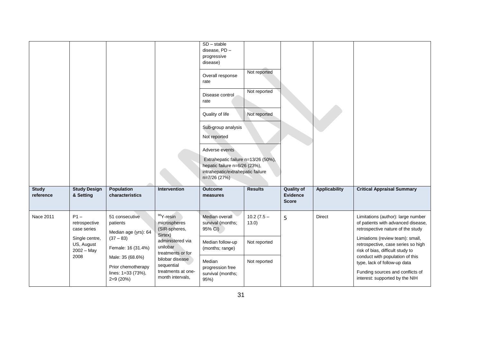| <b>Study</b> | <b>Study Design</b>                          | Population                                                                 | <b>Intervention</b>                                                     | $SD - stable$<br>disease, PD -<br>progressive<br>disease)<br>Overall response<br>rate<br>Disease control<br>rate<br>Quality of life<br>Sub-group analysis<br>Not reported<br>Adverse events<br>Extrahepatic failure n=13/26 (50%),<br>hepatic failure n=6/26 (23%),<br>intrahepatic/extrahepatic failure<br>n=7/26 (27%)<br><b>Outcome</b> | Not reported<br>Not reported<br>Not reported<br><b>Results</b> | <b>Quality of</b>               | <b>Applicability</b> | <b>Critical Appraisal Summary</b>                                                                                                     |
|--------------|----------------------------------------------|----------------------------------------------------------------------------|-------------------------------------------------------------------------|--------------------------------------------------------------------------------------------------------------------------------------------------------------------------------------------------------------------------------------------------------------------------------------------------------------------------------------------|----------------------------------------------------------------|---------------------------------|----------------------|---------------------------------------------------------------------------------------------------------------------------------------|
| reference    | & Setting                                    | characteristics                                                            |                                                                         | measures                                                                                                                                                                                                                                                                                                                                   |                                                                | <b>Evidence</b><br><b>Score</b> |                      |                                                                                                                                       |
| Nace 2011    | $P1 -$<br>retrospective<br>case series       | 51 consecutive<br>patients<br>Median age (yrs): 64                         | <sup>90</sup> Y-resin<br>microspheres<br>(SIR-spheres,                  | Median overall<br>survival (months;<br>95% CI)                                                                                                                                                                                                                                                                                             | $10.2(7.5 -$<br>13.0)                                          | 5                               | Direct               | Limitations (author): large number<br>of patients with advanced disease,<br>retrospective nature of the study                         |
|              | Single centre,<br>US, August<br>$2002 - May$ | $(37 - 83)$<br>Female: 16 (31.4%)                                          | Sirtex)<br>administered via<br>unilobar<br>treatments or for            | Median follow-up<br>(months; range)                                                                                                                                                                                                                                                                                                        | Not reported                                                   |                                 |                      | Limiations (review team): small,<br>retrospective, case series so high<br>risk of bias, difficult study to                            |
|              | 2008                                         | Male: 35 (68.6%)<br>Prior chemotherapy<br>lines: 1=33 (73%),<br>$2=9(20%)$ | bilobar disease<br>sequential<br>treatments at one-<br>month intervals, | Median<br>progression free<br>survival (months;<br>95%)                                                                                                                                                                                                                                                                                    | Not reported                                                   |                                 |                      | conduct with population of this<br>type, lack of follow-up data<br>Funding sources and conflicts of<br>interest: supported by the NIH |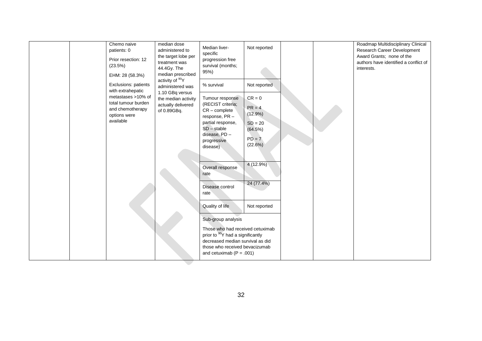| Chemo naive<br>patients: 0<br>Prior resection: 12<br>(23.5%)<br>EHM: 28 (58.3%)<br>Exclusions: patients         | median dose<br>administered to<br>the target lobe per<br>treatment was<br>44.4Gy. The<br>median prescribed<br>activity of <sup>90</sup> Y<br>administered was | Median liver-<br>specific<br>progression free<br>survival (months;<br>95%)<br>% survival                                                                                                                                             | Not reported<br>Not reported                                                                                |  | Roadmap Multidisciplinary Clinical<br>Research Career Development<br>Award Grants; none of the<br>authors have identified a conflict of<br>interests. |
|-----------------------------------------------------------------------------------------------------------------|---------------------------------------------------------------------------------------------------------------------------------------------------------------|--------------------------------------------------------------------------------------------------------------------------------------------------------------------------------------------------------------------------------------|-------------------------------------------------------------------------------------------------------------|--|-------------------------------------------------------------------------------------------------------------------------------------------------------|
| with extrahepatic<br>metastases >10% of<br>total tumour burden<br>and chemotherapy<br>options were<br>available | 1.10 GBq versus<br>the median activity<br>actually delivered<br>of 0.89GBq.                                                                                   | Tumour response<br>(RECIST criteria;<br>$CR$ – complete<br>response, PR-<br>partial response,<br>$SD - stable$<br>disease, PD -<br>progressive<br>disease)<br>Overall response<br>rate<br>Disease control<br>rate<br>Quality of life | $CR = 0$<br>$PR = 4$<br>$(12.9\%)$<br>$SD = 20$<br>(64.5%)<br>$PD = 7$<br>(22.6%)<br>4(12.9%)<br>24 (77.4%) |  |                                                                                                                                                       |
|                                                                                                                 |                                                                                                                                                               | Sub-group analysis<br>Those who had received cetuximab<br>prior to <sup>90</sup> Y had a significantly<br>decreased median survival as did<br>those who received bevacizumab<br>and cetuximab ( $P = .001$ )                         | Not reported                                                                                                |  |                                                                                                                                                       |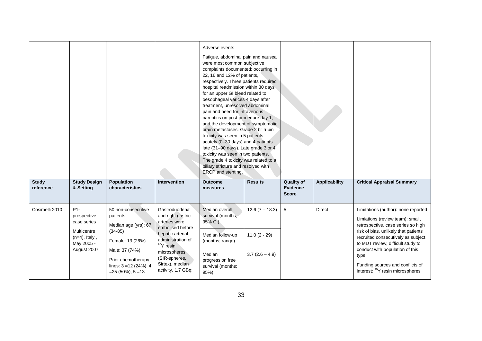| <b>Study</b><br>reference | <b>Study Design</b><br>& Setting                    | <b>Population</b><br>characteristics                                                                                                 | <b>Intervention</b>                                                                                                  | Adverse events<br>Fatigue, abdominal pain and nausea<br>were most common subjective<br>complaints documented; occurring in<br>22, 16 and 12% of patients,<br>respectively. Three patients required<br>hospital readmission within 30 days<br>for an upper GI bleed related to<br>oesophageal varices 4 days after<br>treatment, unresolved abdominal<br>pain and need for intravenous<br>narcotics on post procedure day 1,<br>and the development of symptomatic<br>brain metastases. Grade 2 bilirubin<br>toxicity was seen in 5 patients<br>acutely (0-30 days) and 4 patients<br>late (31-90 days). Late grade 3 or 4<br>toxicity was seen in two patients.<br>The grade 4 toxicity was related to a<br>biliary stricture and resolved with<br>ERCP and stenting.<br><b>Outcome</b><br>measures | <b>Results</b>                     | <b>Quality of</b><br>Evidence | <b>Applicability</b> | <b>Critical Appraisal Summary</b>                                                                                                                                                           |
|---------------------------|-----------------------------------------------------|--------------------------------------------------------------------------------------------------------------------------------------|----------------------------------------------------------------------------------------------------------------------|-----------------------------------------------------------------------------------------------------------------------------------------------------------------------------------------------------------------------------------------------------------------------------------------------------------------------------------------------------------------------------------------------------------------------------------------------------------------------------------------------------------------------------------------------------------------------------------------------------------------------------------------------------------------------------------------------------------------------------------------------------------------------------------------------------|------------------------------------|-------------------------------|----------------------|---------------------------------------------------------------------------------------------------------------------------------------------------------------------------------------------|
|                           |                                                     |                                                                                                                                      |                                                                                                                      |                                                                                                                                                                                                                                                                                                                                                                                                                                                                                                                                                                                                                                                                                                                                                                                                     |                                    | <b>Score</b>                  |                      |                                                                                                                                                                                             |
| Cosimelli 2010            | $P1 -$<br>prospective<br>case series<br>Multicentre | 50 non-consecutive<br>patients<br>Median age (yrs): 67<br>$(34-85)$                                                                  | Gastroduodenal<br>and right gastric<br>arteries were<br>embolised before<br>hepatic arterial                         | Median overall<br>survival (months;<br>95% CI)<br>Median follow-up                                                                                                                                                                                                                                                                                                                                                                                                                                                                                                                                                                                                                                                                                                                                  | $12.6(7 - 18.3)$<br>$11.0(2 - 29)$ | 5                             | <b>Direct</b>        | Limitations (author): none reported<br>Limiations (review team): small,<br>retrospective, case series so high<br>risk of bias, unlikely that patients<br>recruited consecutively as subject |
|                           | May 2005 -<br>August 2007                           | $(n=4)$ , Italy,<br>Female: 13 (26%)<br>Male: 37 (74%)<br>Prior chemotherapy<br>lines: $3 = 12(24%)$ , 4<br>$= 25 (50\%)$ , $5 = 13$ | administration of<br><sup>90</sup> Y resin<br>microspheres<br>(SIR-spheres,<br>Sirtex), median<br>activity, 1.7 GBq; | (months; range)<br>Median<br>progression free<br>survival (months;<br>95%)                                                                                                                                                                                                                                                                                                                                                                                                                                                                                                                                                                                                                                                                                                                          | $3.7(2.6 - 4.9)$                   |                               |                      | to MDT review, difficult study to<br>conduct with population of this<br>type<br>Funding sources and conflicts of<br>interest: <sup>90</sup> Y resin microspheres                            |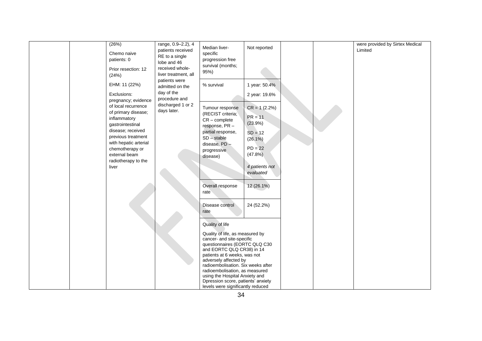| (26%)<br>Chemo naive<br>patients: 0<br>Prior resection: 12<br>(24%)<br>EHM: 11 (22%)<br>Exclusions:<br>pregnancy; evidence<br>of local recurrence<br>of primary disease;<br>inflammatory | range, 0.9-2.2), 4<br>patients received<br>RE to a single<br>lobe and 46<br>received whole-<br>liver treatment, all<br>patients were<br>admitted on the<br>day of the<br>procedure and<br>discharged 1 or 2<br>days later. | Median liver-<br>specific<br>progression free<br>survival (months;<br>95%)<br>% survival<br>Tumour response<br>(RECIST criteria;<br>$CR$ – complete                                                                                                                                                                                                                                                                    | Not reported<br>1 year: 50.4%<br>2 year: 19.6%<br>$CR = 1 (2.2%)$<br>$PR = 11$                          |  | were provided by Sirtex Medical<br>Limited |
|------------------------------------------------------------------------------------------------------------------------------------------------------------------------------------------|----------------------------------------------------------------------------------------------------------------------------------------------------------------------------------------------------------------------------|------------------------------------------------------------------------------------------------------------------------------------------------------------------------------------------------------------------------------------------------------------------------------------------------------------------------------------------------------------------------------------------------------------------------|---------------------------------------------------------------------------------------------------------|--|--------------------------------------------|
| gastrointestinal<br>disease; received<br>previous treatment<br>with hepatic arterial<br>chemotherapy or<br>external beam<br>radiotherapy to the<br>liver                                 |                                                                                                                                                                                                                            | response, PR-<br>partial response,<br>$SD - stable$<br>disease, PD -<br>progressive<br>disease)<br>Overall response<br>rate                                                                                                                                                                                                                                                                                            | (23.9%)<br>$SD = 12$<br>$(26.1\%)$<br>$PD = 22$<br>(47.8%)<br>4 patients not<br>evaluated<br>12 (26.1%) |  |                                            |
|                                                                                                                                                                                          |                                                                                                                                                                                                                            | Disease control<br>rate<br>Quality of life<br>Quality of life, as measured by<br>cancer- and site-specific<br>questionnaires (EORTC QLQ C30<br>and EORTC QLQ CR38) in 14<br>patients at 6 weeks, was not<br>adversely affected by<br>radioembolisation. Six weeks after<br>radioembolisation, as measured<br>using the Hospital Anxiety and<br>Dpression score, patients' anxiety<br>levels were significantly reduced | 24 (52.2%)                                                                                              |  |                                            |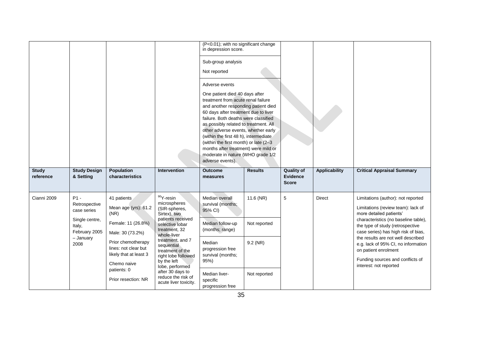|                           |                                                                                                          |                                                                                                                                                                                             |                                                                                                                                                                                                                                                                          | (P<0.01); with no significant change<br>in depression score.<br>Sub-group analysis<br>Not reported<br>Adverse events<br>One patient died 40 days after<br>treatment from acute renal failure<br>and another responding patient died<br>60 days after treatment due to liver<br>failure. Both deaths were classified<br>as possibly related to treatment. All<br>other adverse events, whether early<br>(within the first 48 h), intermediate<br>(within the first month) or late (2-3)<br>months after treatment) were mild or<br>moderate in nature (WHO grade 1/2<br>adverse events). |                                       |                                                      |                      |                                                                                                                                                                                                                                                                                                                                                                                           |
|---------------------------|----------------------------------------------------------------------------------------------------------|---------------------------------------------------------------------------------------------------------------------------------------------------------------------------------------------|--------------------------------------------------------------------------------------------------------------------------------------------------------------------------------------------------------------------------------------------------------------------------|-----------------------------------------------------------------------------------------------------------------------------------------------------------------------------------------------------------------------------------------------------------------------------------------------------------------------------------------------------------------------------------------------------------------------------------------------------------------------------------------------------------------------------------------------------------------------------------------|---------------------------------------|------------------------------------------------------|----------------------|-------------------------------------------------------------------------------------------------------------------------------------------------------------------------------------------------------------------------------------------------------------------------------------------------------------------------------------------------------------------------------------------|
| <b>Study</b><br>reference | <b>Study Design</b><br>& Setting                                                                         | <b>Population</b><br>characteristics                                                                                                                                                        | <b>Intervention</b>                                                                                                                                                                                                                                                      | <b>Outcome</b><br>measures                                                                                                                                                                                                                                                                                                                                                                                                                                                                                                                                                              | <b>Results</b>                        | <b>Quality of</b><br><b>Evidence</b><br><b>Score</b> | <b>Applicability</b> | <b>Critical Appraisal Summary</b>                                                                                                                                                                                                                                                                                                                                                         |
| Cianni 2009               | $P1 -$<br>Retrospective<br>case series<br>Single centre,<br>Italy,<br>February 2005<br>- January<br>2008 | 41 patients<br>Mean age (yrs): 61.2<br>(NR)<br>Female: 11 (26.8%)<br>Male: 30 (73.2%)<br>Prior chemotherapy<br>lines: not clear but<br>likely that at least 3<br>Chemo naive<br>patients: 0 | $90Y$ -resin<br>microspheres<br>(SIR-spheres,<br>Sirtex), two<br>patients received<br>selective lobar<br>treatment, 32<br>whole-liver<br>treatment, and 7<br>sequential<br>treatment of the<br>right lobe followed<br>by the left<br>lobe, performed<br>after 30 days to | Median overall<br>survival (months;<br>95% CI)<br>Median follow-up<br>(months; range)<br>Median<br>progression free<br>survival (months;<br>95%)<br>Median liver-                                                                                                                                                                                                                                                                                                                                                                                                                       | 11.6 (NR)<br>Not reported<br>9.2 (NR) | 5                                                    | <b>Direct</b>        | Limitations (author): not reported<br>Limitations (review team): lack of<br>more detailed patients'<br>characteristics (no baseline table),<br>the type of study (retrospective<br>case series) has high risk of bias,<br>the results are not well described<br>e.g. lack of 95% CI, no information<br>on patient enrolment<br>Funding sources and conflicts of<br>interest: not reported |
|                           |                                                                                                          | Prior resection: NR                                                                                                                                                                         | reduce the risk of<br>acute liver toxicity.                                                                                                                                                                                                                              | specific<br>progression free                                                                                                                                                                                                                                                                                                                                                                                                                                                                                                                                                            | Not reported                          |                                                      |                      |                                                                                                                                                                                                                                                                                                                                                                                           |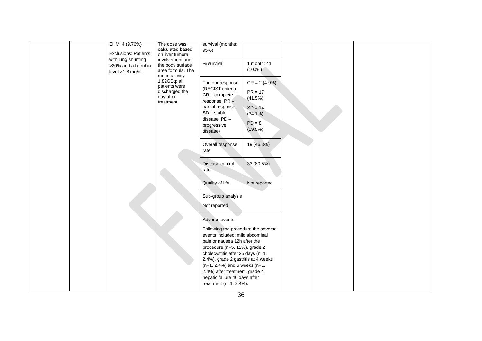| EHM: 4 (9.76%)<br><b>Exclusions: Patients</b>                     | The dose was<br>calculated based<br>on liver tumoral                       | survival (months;<br>95%)                                                                                                                                                                                                                                                                                                                                                           |                                                                                                        |  |  |
|-------------------------------------------------------------------|----------------------------------------------------------------------------|-------------------------------------------------------------------------------------------------------------------------------------------------------------------------------------------------------------------------------------------------------------------------------------------------------------------------------------------------------------------------------------|--------------------------------------------------------------------------------------------------------|--|--|
| with lung shunting<br>>20% and a bilirubin<br>level $>1.8$ mg/dl. | involvement and<br>the body surface<br>area formula. The<br>mean activity  | % survival                                                                                                                                                                                                                                                                                                                                                                          | 1 month: 41<br>$(100\%)$                                                                               |  |  |
|                                                                   | 1.82GBq; all<br>patients were<br>discharged the<br>day after<br>treatment. | Tumour response<br>(RECIST criteria;<br>$CR$ – complete<br>response, PR-<br>partial response,<br>$SD - stable$<br>disease, PD -<br>progressive<br>disease)<br>Overall response                                                                                                                                                                                                      | $CR = 2(4.9%)$<br>$PR = 17$<br>(41.5%)<br>$SD = 14$<br>$(34.1\%)$<br>$PD = 8$<br>(19.5%)<br>19 (46.3%) |  |  |
|                                                                   |                                                                            | rate<br>Disease control<br>rate                                                                                                                                                                                                                                                                                                                                                     | 33 (80.5%)                                                                                             |  |  |
|                                                                   |                                                                            | Quality of life<br>Sub-group analysis                                                                                                                                                                                                                                                                                                                                               | Not reported                                                                                           |  |  |
|                                                                   |                                                                            | Not reported                                                                                                                                                                                                                                                                                                                                                                        |                                                                                                        |  |  |
|                                                                   |                                                                            | Adverse events<br>Following the procedure the adverse<br>events included: mild abdominal<br>pain or nausea 12h after the<br>procedure (n=5, 12%), grade 2<br>cholecystitis after 25 days (n=1,<br>2.4%), grade 2 gastritis at 4 weeks<br>$(n=1, 2.4\%)$ and 6 weeks $(n=1, 2.4\%)$<br>2.4%) after treatment, grade 4<br>hepatic failure 40 days after<br>treatment $(n=1, 2.4\%)$ . |                                                                                                        |  |  |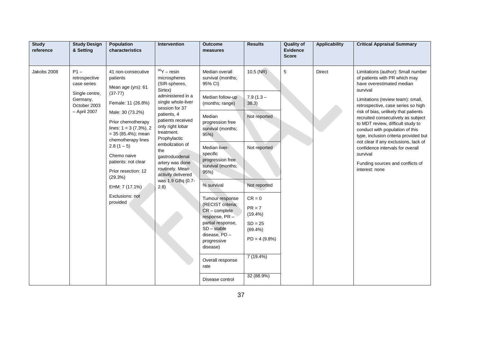| <b>Study</b><br>reference | <b>Study Design</b><br>& Setting                                                                     | Population<br>characteristics                                                                                                                                                                                                                                                                                                                          | Intervention                                                                                                                                                                                                                                                                                                                                       | <b>Outcome</b><br>measures                                                                                                                                                                                                                                                                                                                                                                                                                               | <b>Results</b>                                                                                                                                                                                      | <b>Quality of</b><br><b>Evidence</b><br><b>Score</b> | <b>Applicability</b> | <b>Critical Appraisal Summary</b>                                                                                                                                                                                                                                                                                                                                                                                                                                                                                                    |
|---------------------------|------------------------------------------------------------------------------------------------------|--------------------------------------------------------------------------------------------------------------------------------------------------------------------------------------------------------------------------------------------------------------------------------------------------------------------------------------------------------|----------------------------------------------------------------------------------------------------------------------------------------------------------------------------------------------------------------------------------------------------------------------------------------------------------------------------------------------------|----------------------------------------------------------------------------------------------------------------------------------------------------------------------------------------------------------------------------------------------------------------------------------------------------------------------------------------------------------------------------------------------------------------------------------------------------------|-----------------------------------------------------------------------------------------------------------------------------------------------------------------------------------------------------|------------------------------------------------------|----------------------|--------------------------------------------------------------------------------------------------------------------------------------------------------------------------------------------------------------------------------------------------------------------------------------------------------------------------------------------------------------------------------------------------------------------------------------------------------------------------------------------------------------------------------------|
| Jakobs 2008               | $P1 -$<br>retrospective<br>case series<br>Single centre,<br>Germany,<br>October 2003<br>- April 2007 | 41 non-consecutive<br>patients<br>Mean age (yrs): 61<br>$(37-77)$<br>Female: 11 (26.8%)<br>Male: 30 (73.2%)<br>Prior chemotherapy<br>lines: $1 = 3 (7.3\%)$ , 2<br>$= 35 (85.4\%)$ ; mean<br>chemotherapy lines<br>$2.8(1-5)$<br>Chemo naive<br>patients: not clear<br>Prior resection: 12<br>(29.3%)<br>EHM: 7 (17.1%)<br>Exclusions: not<br>provided | $90Y -$ resin<br>microspheres<br>(SIR-spheres,<br>Sirtex)<br>administered in a<br>single whole-liver<br>session for 37<br>patients, 4<br>patients received<br>only right lobar<br>treatment.<br>Prophylactic<br>embolization of<br>the<br>gastroduodenal<br>artery was done<br>routinely. Mean<br>activity delivered<br>was 1.9 GBq (0.7-<br>(2.8) | Median overall<br>survival (months;<br>95% CI)<br>Median follow-up<br>(months; range)<br>Median<br>progression free<br>survival (months;<br>95%)<br>Median liver-<br>specific<br>progression free<br>survival (months;<br>95%<br>% survival<br>Tumour response<br>(RECIST criteria;<br>$CR$ – complete<br>response, PR-<br>partial response,<br>$SD - stable$<br>disease, PD -<br>progressive<br>disease)<br>Overall response<br>rate<br>Disease control | $10.5$ (NR)<br>$7.9(1.3 -$<br>38.3)<br>Not reported<br>Not reported<br>Not reported<br>$CR = 0$<br>$PR = 7$<br>$(19.4\%)$<br>$SD = 25$<br>$(69.4\%)$<br>$PD = 4 (9.8\%)$<br>7 (19.4%)<br>32 (88.9%) | 5                                                    | <b>Direct</b>        | Limitations (author): Small number<br>of patients with PR which may<br>have overestimated median<br>survival<br>Limitations (review team): small,<br>retrospective, case series so high<br>risk of bias, unlikely that patients<br>recruited consecutively as subject<br>to MDT review, difficult study to<br>conduct with population of this<br>type, inclusion criteria provided but<br>not clear if any exclusions, lack of<br>confidence intervals for overall<br>survival<br>Funding sources and conflicts of<br>interest: none |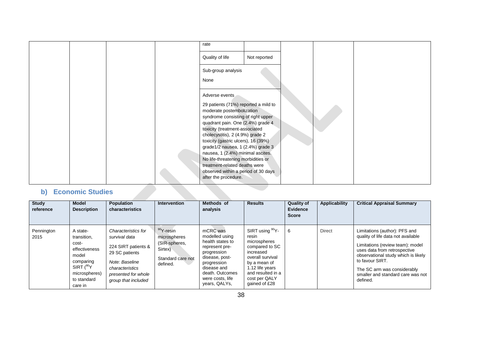|              |                         |  | rate                                                                    |              |  |  |
|--------------|-------------------------|--|-------------------------------------------------------------------------|--------------|--|--|
|              |                         |  | Quality of life                                                         | Not reported |  |  |
|              |                         |  | Sub-group analysis                                                      |              |  |  |
|              |                         |  | None                                                                    |              |  |  |
|              |                         |  | Adverse events                                                          |              |  |  |
|              |                         |  | 29 patients (71%) reported a mild to                                    |              |  |  |
|              |                         |  | moderate postembolization<br>syndrome consisting of right upper         |              |  |  |
|              |                         |  | quadrant pain. One (2.4%) grade 4<br>toxicity (treatment-associated     |              |  |  |
|              |                         |  | cholecystitis), 2 (4.9%) grade 2<br>toxicity (gastric ulcers), 16 (39%) |              |  |  |
|              |                         |  | grade1/2 nausea, 1 (2.4%) grade 3<br>nausea, 1 (2.4%) minimal ascites.  |              |  |  |
|              |                         |  | No life-threatening morbidities or<br>treatment-related deaths were     |              |  |  |
|              |                         |  | observed within a period of 30 days<br>after the procedure.             |              |  |  |
|              |                         |  |                                                                         |              |  |  |
| $\mathbf{b}$ | <b>Economic Studies</b> |  |                                                                         |              |  |  |

<span id="page-37-0"></span>

| <b>Study</b><br>reference | <b>Model</b><br><b>Description</b>                                                                                                   | <b>Population</b><br>characteristics                                                                                                                             | <b>Intervention</b>                                                                       | Methods of<br>analysis                                                                                                                                                                  | <b>Results</b>                                                                                                                                                                                    | <b>Quality of</b><br>Evidence<br><b>Score</b> | Applicability | <b>Critical Appraisal Summary</b>                                                                                                                                                                                                                                                 |
|---------------------------|--------------------------------------------------------------------------------------------------------------------------------------|------------------------------------------------------------------------------------------------------------------------------------------------------------------|-------------------------------------------------------------------------------------------|-----------------------------------------------------------------------------------------------------------------------------------------------------------------------------------------|---------------------------------------------------------------------------------------------------------------------------------------------------------------------------------------------------|-----------------------------------------------|---------------|-----------------------------------------------------------------------------------------------------------------------------------------------------------------------------------------------------------------------------------------------------------------------------------|
| Pennington<br>2015        | A state-<br>transition,<br>cost-<br>effectiveness<br>model<br>comparing<br>SIRT $(^{90}Y$<br>microspheres)<br>to standard<br>care in | Characteristics for<br>survival data<br>224 SIRT patients &<br>29 SC patients<br>Note: Baseline<br>characteristics<br>presented for whole<br>group that included | $90Y$ -resin<br>microspheres<br>(SIR-spheres,<br>Sirtex)<br>Standard care not<br>defined. | mCRC was<br>modelled using<br>health states to<br>represent pre-<br>progression<br>disease, post-<br>progression<br>disease and<br>death. Outcomes<br>were costs, life<br>years, QALYs, | SIRT using <sup>90</sup> Y-<br>resin<br>microspheres<br>compared to SC<br>increased<br>overall survival<br>by a mean of<br>1.12 life years<br>and resulted in a<br>cost per QALY<br>gained of £28 | 6                                             | <b>Direct</b> | Limitations (author): PFS and<br>quality of life data not available<br>Limitations (review team): model<br>uses data from retrospective<br>observational study which is likely<br>to favour SIRT.<br>The SC arm was considerably<br>smaller and standard care was not<br>defined. |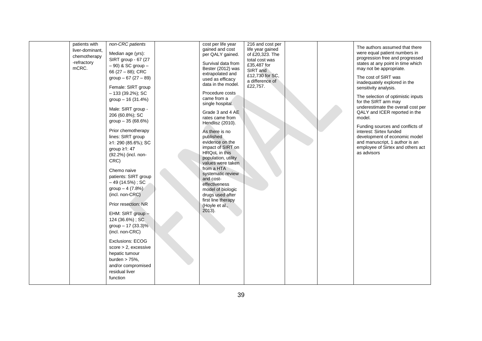| patients with<br>liver-dominant,<br>chemotherapy<br>-refractory<br>mCRC. | non-CRC patients<br>Median age (yrs):<br>SIRT group - 67 (27<br>$-90$ ) & SC group $-$<br>66 (27 - 88); CRC<br>group $-67(27-89)$<br>Female: SIRT group<br>$-133(39.2\%)$ ; SC<br>group - 16 (31.4%)<br>Male: SIRT group -<br>206 (60.8%); SC<br>group - 35 (68.6%)<br>Prior chemotherapy<br>lines: SIRT group<br>≥1: 290 (85.6%); SC<br>group ≥1: 47<br>(92.2%) (incl. non-<br>CRC)<br>Chemo naive<br>patients: SIRT group<br>$-49(14.5%)$ ; SC<br>group $-4(7.8%)$<br>(incl. non-CRC)<br>Prior resection: NR<br>EHM: SIRT group -<br>124 (36.6%); SC<br>group $- 17$ (33.3)%<br>(incl. non-CRC)<br>Exclusions: ECOG<br>$score > 2$ , excessive<br>hepatic tumour<br>burden $> 75%$ .<br>and/or compromised<br>residual liver<br>function | cost per life year<br>gained and cost<br>per QALY gained.<br>Survival data from<br>Bester (2012) was<br>extrapolated and<br>used as efficacy<br>data in the model.<br>Procedure costs<br>came from a<br>single hospital.<br>Grade 3 and 4 AE<br>rates came from<br>Hendlisz (2010).<br>As there is no<br>published<br>evidence on the<br>impact of SIRT on<br>HRQoL in this<br>population, utility<br>values were taken<br>from a HTA<br>systematic review<br>and cost-<br>effectiveness<br>model of biologic<br>drugs used after<br>first line therapy<br>(Hoyle et al.,<br>2013). | 216 and cost per<br>life year gained<br>of £20,323. The<br>total cost was<br>£35,487 for<br>SIRT and<br>£12,730 for SC,<br>a difference of<br>£22,757. |  | The authors assumed that there<br>were equal patient numbers in<br>progression free and progressed<br>states at any point in time which<br>may not be appropriate.<br>The cost of SIRT was<br>inadequately explored in the<br>sensitivity analysis.<br>The selection of optimistic inputs<br>for the SIRT arm may<br>underestimate the overall cost per<br>QALY and ICER reported in the<br>model.<br>Funding sources and conflicts of<br>interest: Sirtex funded<br>development of economic model<br>and manuscript, 1 author is an<br>employee of Sirtex and others act<br>as advisors |
|--------------------------------------------------------------------------|--------------------------------------------------------------------------------------------------------------------------------------------------------------------------------------------------------------------------------------------------------------------------------------------------------------------------------------------------------------------------------------------------------------------------------------------------------------------------------------------------------------------------------------------------------------------------------------------------------------------------------------------------------------------------------------------------------------------------------------------|-------------------------------------------------------------------------------------------------------------------------------------------------------------------------------------------------------------------------------------------------------------------------------------------------------------------------------------------------------------------------------------------------------------------------------------------------------------------------------------------------------------------------------------------------------------------------------------|--------------------------------------------------------------------------------------------------------------------------------------------------------|--|------------------------------------------------------------------------------------------------------------------------------------------------------------------------------------------------------------------------------------------------------------------------------------------------------------------------------------------------------------------------------------------------------------------------------------------------------------------------------------------------------------------------------------------------------------------------------------------|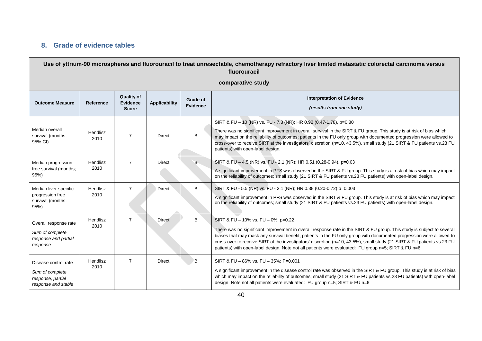# **8. Grade of evidence tables**

<span id="page-39-0"></span>

|                                                                                     | Use of yttrium-90 microspheres and fluorouracil to treat unresectable, chemotherapy refractory liver limited metastatic colorectal carcinoma versus<br>fluorouracil |                                                      |                      |                             |                                                                                                                                                                                                                                                                                                                                                                                                                                                                                                                        |  |  |  |  |  |
|-------------------------------------------------------------------------------------|---------------------------------------------------------------------------------------------------------------------------------------------------------------------|------------------------------------------------------|----------------------|-----------------------------|------------------------------------------------------------------------------------------------------------------------------------------------------------------------------------------------------------------------------------------------------------------------------------------------------------------------------------------------------------------------------------------------------------------------------------------------------------------------------------------------------------------------|--|--|--|--|--|
| comparative study                                                                   |                                                                                                                                                                     |                                                      |                      |                             |                                                                                                                                                                                                                                                                                                                                                                                                                                                                                                                        |  |  |  |  |  |
| <b>Outcome Measure</b>                                                              | Reference                                                                                                                                                           | <b>Quality of</b><br><b>Evidence</b><br><b>Score</b> | <b>Applicability</b> | Grade of<br><b>Evidence</b> | <b>Interpretation of Evidence</b><br>(results from one study)                                                                                                                                                                                                                                                                                                                                                                                                                                                          |  |  |  |  |  |
| Median overall<br>survival (months;<br>95% CI)                                      | Hendlisz<br>2010                                                                                                                                                    | $\overline{7}$                                       | <b>Direct</b>        | B                           | SIRT & FU - 10 (NR) vs. FU - 7.3 (NR); HR 0.92 (0.47-1.78), p=0.80<br>There was no significant improvement in overall survival in the SIRT & FU group. This study is at risk of bias which<br>may impact on the reliability of outcomes; patients in the FU only group with documented progression were allowed to<br>cross-over to receive SIRT at the investigators' discretion (n=10, 43.5%), small study (21 SIRT & FU patients vs.23 FU<br>patients) with open-label design.                                      |  |  |  |  |  |
| Median progression<br>free survival (months;<br>95%                                 | Hendlisz<br>2010                                                                                                                                                    | $\overline{7}$                                       | <b>Direct</b>        | B.                          | SIRT & FU - 4.5 (NR) vs. FU - 2.1 (NR); HR 0.51 (0.28-0.94), p=0.03<br>A significant improvement in PFS was observed in the SIRT & FU group. This study is at risk of bias which may impact<br>on the reliability of outcomes; small study (21 SIRT & FU patients vs.23 FU patients) with open-label design.                                                                                                                                                                                                           |  |  |  |  |  |
| Median liver-specific<br>progression free<br>survival (months;<br>95%               | Hendlisz<br>2010                                                                                                                                                    | $\overline{7}$                                       | Direct               | B                           | SIRT & FU - 5.5 (NR) vs. FU - 2.1 (NR); HR 0.38 (0.20-0.72) p=0.003<br>A significant improvement in PFS was observed in the SIRT & FU group. This study is at risk of bias which may impact<br>on the reliability of outcomes; small study (21 SIRT & FU patients vs.23 FU patients) with open-label design.                                                                                                                                                                                                           |  |  |  |  |  |
| Overall response rate<br>Sum of complete<br>response and partial<br>response        | Hendlisz<br>2010                                                                                                                                                    | $\overline{7}$                                       | <b>Direct</b>        | B                           | SIRT & FU - 10% vs. FU - 0%; p=0.22<br>There was no significant improvement in overall response rate in the SIRT & FU group. This study is subject to several<br>biases that may mask any survival benefit; patients in the FU only group with documented progression were allowed to<br>cross-over to receive SIRT at the investigators' discretion (n=10, 43.5%), small study (21 SIRT & FU patients vs.23 FU<br>patients) with open-label design. Note not all patients were evaluated: FU group n=5; SIRT & FU n=6 |  |  |  |  |  |
| Disease control rate<br>Sum of complete<br>response, partial<br>response and stable | Hendlisz<br>2010                                                                                                                                                    | $\overline{7}$                                       | <b>Direct</b>        | B                           | SIRT & FU - 86% vs. FU - 35%; P=0.001<br>A significant improvement in the disease control rate was observed in the SIRT & FU group. This study is at risk of bias<br>which may impact on the reliability of outcomes; small study (21 SIRT & FU patients vs.23 FU patients) with open-label<br>design. Note not all patients were evaluated: FU group n=5; SIRT & FU n=6                                                                                                                                               |  |  |  |  |  |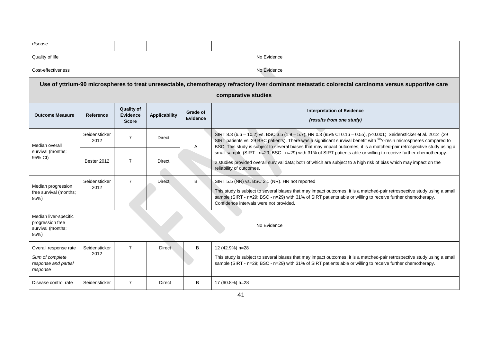| disease                                                                      |                                                                                                                                                     |                                                      |                      |                             |                                                                                                                                                                                                                                                                                                                                                                                                                                                                                                        |  |  |  |  |  |  |
|------------------------------------------------------------------------------|-----------------------------------------------------------------------------------------------------------------------------------------------------|------------------------------------------------------|----------------------|-----------------------------|--------------------------------------------------------------------------------------------------------------------------------------------------------------------------------------------------------------------------------------------------------------------------------------------------------------------------------------------------------------------------------------------------------------------------------------------------------------------------------------------------------|--|--|--|--|--|--|
| Quality of life                                                              | No Evidence                                                                                                                                         |                                                      |                      |                             |                                                                                                                                                                                                                                                                                                                                                                                                                                                                                                        |  |  |  |  |  |  |
| Cost-effectiveness                                                           | No Evidence                                                                                                                                         |                                                      |                      |                             |                                                                                                                                                                                                                                                                                                                                                                                                                                                                                                        |  |  |  |  |  |  |
|                                                                              | Use of yttrium-90 microspheres to treat unresectable, chemotherapy refractory liver dominant metastatic colorectal carcinoma versus supportive care |                                                      |                      |                             |                                                                                                                                                                                                                                                                                                                                                                                                                                                                                                        |  |  |  |  |  |  |
|                                                                              | comparative studies                                                                                                                                 |                                                      |                      |                             |                                                                                                                                                                                                                                                                                                                                                                                                                                                                                                        |  |  |  |  |  |  |
| <b>Outcome Measure</b>                                                       | Reference                                                                                                                                           | <b>Quality of</b><br><b>Evidence</b><br><b>Score</b> | <b>Applicability</b> | Grade of<br><b>Evidence</b> | <b>Interpretation of Evidence</b><br>(results from one study)                                                                                                                                                                                                                                                                                                                                                                                                                                          |  |  |  |  |  |  |
| Median overall<br>survival (months;                                          | Seidensticker<br>2012                                                                                                                               | $\overline{7}$                                       | Direct               | A                           | SIRT 8.3 (6.6 - 10.2) vs. BSC 3.5 (1.9 - 5.7); HR 0.3 (95% CI 0.16 - 0.55), p<0.001; Seidensticker et al. 2012 (29<br>SIRT patients vs. 29 BSC patients). There was a significant survival benefit with <sup>90</sup> Y-resin microspheres compared to<br>BSC. This study is subject to several biases that may impact outcomes; it is a matched-pair retrospective study using a<br>small sample (SIRT - n=29; BSC - n=29) with 31% of SIRT patients able or willing to receive further chemotherapy. |  |  |  |  |  |  |
| 95% CI)                                                                      | Bester 2012                                                                                                                                         | $\overline{7}$                                       | Direct               |                             | 2 studies provided overall survival data; both of which are subject to a high risk of bias which may impact on the<br>reliability of outcomes.                                                                                                                                                                                                                                                                                                                                                         |  |  |  |  |  |  |
| Median progression<br>free survival (months;<br>95%)                         | Seidensticker<br>2012                                                                                                                               | $\overline{7}$                                       | <b>Direct</b>        | B                           | SIRT 5.5 (NR) vs. BSC 2.1 (NR). HR not reported<br>This study is subject to several biases that may impact outcomes; it is a matched-pair retrospective study using a small<br>sample (SIRT - n=29; BSC - n=29) with 31% of SIRT patients able or willing to receive further chemotherapy.<br>Confidence intervals were not provided.                                                                                                                                                                  |  |  |  |  |  |  |
| Median liver-specific<br>progression free<br>survival (months;<br>95%)       |                                                                                                                                                     |                                                      |                      |                             | No Evidence                                                                                                                                                                                                                                                                                                                                                                                                                                                                                            |  |  |  |  |  |  |
| Overall response rate<br>Sum of complete<br>response and partial<br>response | Seidensticker<br>2012                                                                                                                               | $\overline{7}$                                       | <b>Direct</b>        | B                           | 12 (42.9%) n=28<br>This study is subject to several biases that may impact outcomes; it is a matched-pair retrospective study using a small<br>sample (SIRT - n=29; BSC - n=29) with 31% of SIRT patients able or willing to receive further chemotherapy.                                                                                                                                                                                                                                             |  |  |  |  |  |  |
| Disease control rate                                                         | Seidensticker                                                                                                                                       | $\overline{7}$                                       | <b>Direct</b>        | B                           | 17 (60.8%) n=28                                                                                                                                                                                                                                                                                                                                                                                                                                                                                        |  |  |  |  |  |  |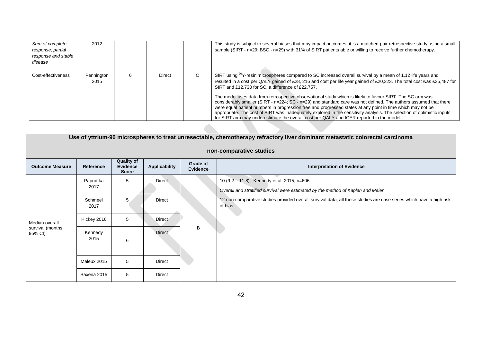| Sum of complete<br>response, partial<br>response and stable<br>disease | 2012               |        |    | This study is subject to several biases that may impact outcomes; it is a matched-pair retrospective study using a small<br>sample (SIRT - n=29; BSC - n=29) with 31% of SIRT patients able or willing to receive further chemotherapy.                                                                                                                                                                                                                                                                                                                                                                                                                                                                                                                                                                                                                                       |
|------------------------------------------------------------------------|--------------------|--------|----|-------------------------------------------------------------------------------------------------------------------------------------------------------------------------------------------------------------------------------------------------------------------------------------------------------------------------------------------------------------------------------------------------------------------------------------------------------------------------------------------------------------------------------------------------------------------------------------------------------------------------------------------------------------------------------------------------------------------------------------------------------------------------------------------------------------------------------------------------------------------------------|
| Cost-effectiveness                                                     | Pennington<br>2015 | Direct | C. | SIRT using <sup>90</sup> Y-resin microspheres compared to SC increased overall survival by a mean of 1.12 life years and<br>resulted in a cost per QALY gained of £28, 216 and cost per life year gained of £20,323. The total cost was £35,487 for<br>SIRT and £12,730 for SC, a difference of £22,757.<br>The model uses data from retrospective observational study which is likely to favour SIRT. The SC arm was<br>considerably smaller (SIRT - n=224; SC - n=29) and standard care was not defined. The authors assumed that there<br>were equal patient numbers in progression free and progressed states at any point in time which may not be<br>appropriate. The cost of SIRT was inadequately explored in the sensitivity analysis. The selection of optimistic inputs<br>for SIRT arm may underestimate the overall cost per QALY and ICER reported in the model |

| Use of yttrium-90 microspheres to treat unresectable, chemotherapy refractory liver dominant metastatic colorectal carcinoma |                   |                                                      |                      |                             |                                                                                                                                 |  |
|------------------------------------------------------------------------------------------------------------------------------|-------------------|------------------------------------------------------|----------------------|-----------------------------|---------------------------------------------------------------------------------------------------------------------------------|--|
| non-comparative studies                                                                                                      |                   |                                                      |                      |                             |                                                                                                                                 |  |
| <b>Outcome Measure</b>                                                                                                       | Reference         | <b>Quality of</b><br><b>Evidence</b><br><b>Score</b> | <b>Applicability</b> | Grade of<br><b>Evidence</b> | <b>Interpretation of Evidence</b>                                                                                               |  |
| Median overall<br>survival (months;<br>95% CI)                                                                               | Paprottka<br>2017 | 5                                                    | <b>Direct</b>        |                             | 10 (9.2 - 11.8), Kennedy et al. 2015, n=606                                                                                     |  |
|                                                                                                                              |                   |                                                      |                      |                             | Overall and stratified survival were estimated by the method of Kaplan and Meier                                                |  |
|                                                                                                                              | Schmeel<br>2017   | 5                                                    | <b>Direct</b>        | В                           | 12 non-comparative studies provided overall survival data; all these studies are case series which have a high risk<br>of bias. |  |
|                                                                                                                              | Hickey 2016       | 5                                                    | <b>Direct</b>        |                             |                                                                                                                                 |  |
|                                                                                                                              | Kennedy<br>2015   | 6                                                    | <b>Direct</b>        |                             |                                                                                                                                 |  |
|                                                                                                                              | Maleux 2015       | 5                                                    | Direct               |                             |                                                                                                                                 |  |
|                                                                                                                              | Saxena 2015       | 5                                                    | Direct               |                             |                                                                                                                                 |  |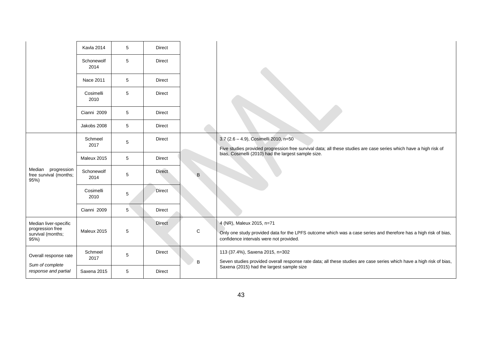|                                                                        | Kavla 2014         | 5 | <b>Direct</b> |   |                                                                                                                                                                                                                   |
|------------------------------------------------------------------------|--------------------|---|---------------|---|-------------------------------------------------------------------------------------------------------------------------------------------------------------------------------------------------------------------|
|                                                                        | Schonewolf<br>2014 | 5 | <b>Direct</b> |   |                                                                                                                                                                                                                   |
|                                                                        | Nace 2011          | 5 | <b>Direct</b> |   |                                                                                                                                                                                                                   |
|                                                                        | Cosimelli<br>2010  | 5 | <b>Direct</b> |   |                                                                                                                                                                                                                   |
|                                                                        | Cianni 2009        | 5 | <b>Direct</b> |   |                                                                                                                                                                                                                   |
|                                                                        | Jakobs 2008        | 5 | Direct        |   |                                                                                                                                                                                                                   |
| Median progression<br>free survival (months;<br>95%)                   | Schmeel<br>2017    | 5 | Direct        | B | 3.7 (2.6 - 4.9), Cosimelli 2010, n=50<br>Five studies provided progression free survival data; all these studies are case series which have a high risk of<br>bias, Cosimelli (2010) had the largest sample size. |
|                                                                        | Maleux 2015        | 5 | <b>Direct</b> |   |                                                                                                                                                                                                                   |
|                                                                        | Schonewolf<br>2014 | 5 | <b>Direct</b> |   |                                                                                                                                                                                                                   |
|                                                                        | Cosimelli<br>2010  | 5 | Direct        |   |                                                                                                                                                                                                                   |
|                                                                        | Cianni 2009        | 5 | <b>Direct</b> |   |                                                                                                                                                                                                                   |
| Median liver-specific<br>progression free<br>survival (months;<br>95%) | Maleux 2015        | 5 | <b>Direct</b> | C | 4 (NR), Maleux 2015, n=71<br>Only one study provided data for the LPFS outcome which was a case series and therefore has a high risk of bias,<br>confidence intervals were not provided.                          |
| Overall response rate<br>Sum of complete<br>response and partial       | Schmeel<br>2017    | 5 | <b>Direct</b> | B | 113 (37.4%), Saxena 2015, n=302<br>Seven studies provided overall response rate data; all these studies are case series which have a high risk of bias,                                                           |
|                                                                        | Saxena 2015        | 5 | <b>Direct</b> |   | Saxena (2015) had the largest sample size                                                                                                                                                                         |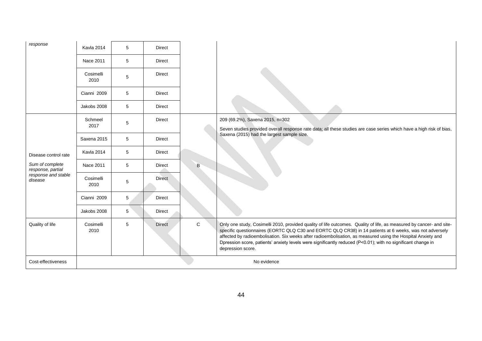| response                                                                                       | Kavla 2014        | 5           | <b>Direct</b> |             |                                                                                                                                                                                                                                                                                                                                                                                                                                                                                      |
|------------------------------------------------------------------------------------------------|-------------------|-------------|---------------|-------------|--------------------------------------------------------------------------------------------------------------------------------------------------------------------------------------------------------------------------------------------------------------------------------------------------------------------------------------------------------------------------------------------------------------------------------------------------------------------------------------|
|                                                                                                | Nace 2011         | 5           | <b>Direct</b> |             |                                                                                                                                                                                                                                                                                                                                                                                                                                                                                      |
|                                                                                                | Cosimelli<br>2010 | $\,$ 5 $\,$ | <b>Direct</b> |             |                                                                                                                                                                                                                                                                                                                                                                                                                                                                                      |
|                                                                                                | Cianni 2009       | 5           | <b>Direct</b> |             |                                                                                                                                                                                                                                                                                                                                                                                                                                                                                      |
|                                                                                                | Jakobs 2008       | 5           | <b>Direct</b> |             |                                                                                                                                                                                                                                                                                                                                                                                                                                                                                      |
| Disease control rate<br>Sum of complete<br>response, partial<br>response and stable<br>disease | Schmeel<br>2017   | 5           | <b>Direct</b> | B           | 209 (69.2%), Saxena 2015, n=302<br>Seven studies provided overall response rate data; all these studies are case series which have a high risk of bias,                                                                                                                                                                                                                                                                                                                              |
|                                                                                                | Saxena 2015       | 5           | <b>Direct</b> |             | Saxena (2015) had the largest sample size.                                                                                                                                                                                                                                                                                                                                                                                                                                           |
|                                                                                                | Kavla 2014        | 5           | <b>Direct</b> |             |                                                                                                                                                                                                                                                                                                                                                                                                                                                                                      |
|                                                                                                | Nace 2011         | 5           | <b>Direct</b> |             |                                                                                                                                                                                                                                                                                                                                                                                                                                                                                      |
|                                                                                                | Cosimelli<br>2010 | 5           | <b>Direct</b> |             |                                                                                                                                                                                                                                                                                                                                                                                                                                                                                      |
|                                                                                                | Cianni 2009       | 5           | <b>Direct</b> |             |                                                                                                                                                                                                                                                                                                                                                                                                                                                                                      |
|                                                                                                | Jakobs 2008       | 5           | <b>Direct</b> |             |                                                                                                                                                                                                                                                                                                                                                                                                                                                                                      |
| Quality of life                                                                                | Cosimelli<br>2010 | 5           | <b>Direct</b> | $\mathbf C$ | Only one study, Cosimelli 2010, provided quality of life outcomes. Quality of life, as measured by cancer- and site-<br>specific questionnaires (EORTC QLQ C30 and EORTC QLQ CR38) in 14 patients at 6 weeks, was not adversely<br>affected by radioembolisation. Six weeks after radioembolisation, as measured using the Hospital Anxiety and<br>Dpression score, patients' anxiety levels were significantly reduced (P<0.01); with no significant change in<br>depression score. |
| Cost-effectiveness                                                                             | No evidence       |             |               |             |                                                                                                                                                                                                                                                                                                                                                                                                                                                                                      |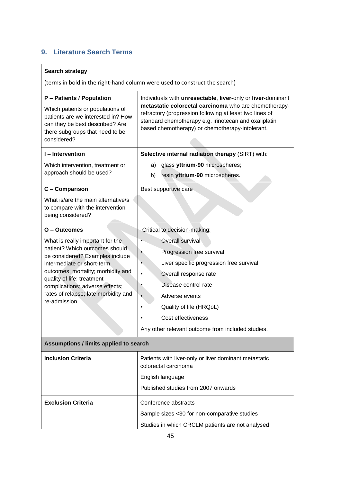# <span id="page-44-0"></span>**9. Literature Search Terms**

### **Search strategy**

(terms in bold in the right-hand column were used to construct the search)

| P - Patients / Population<br>Which patients or populations of<br>patients are we interested in? How<br>can they be best described? Are<br>there subgroups that need to be<br>considered? | Individuals with unresectable, liver-only or liver-dominant<br>metastatic colorectal carcinoma who are chemotherapy-<br>refractory (progression following at least two lines of<br>standard chemotherapy e.g. irinotecan and oxaliplatin<br>based chemotherapy) or chemotherapy-intolerant. |  |  |  |  |  |
|------------------------------------------------------------------------------------------------------------------------------------------------------------------------------------------|---------------------------------------------------------------------------------------------------------------------------------------------------------------------------------------------------------------------------------------------------------------------------------------------|--|--|--|--|--|
| I-Intervention                                                                                                                                                                           | Selective internal radiation therapy (SIRT) with:                                                                                                                                                                                                                                           |  |  |  |  |  |
| Which intervention, treatment or<br>approach should be used?                                                                                                                             | glass yttrium-90 microspheres;<br>a)                                                                                                                                                                                                                                                        |  |  |  |  |  |
|                                                                                                                                                                                          | resin yttrium-90 microspheres.<br>b)                                                                                                                                                                                                                                                        |  |  |  |  |  |
| C - Comparison                                                                                                                                                                           | Best supportive care                                                                                                                                                                                                                                                                        |  |  |  |  |  |
| What is/are the main alternative/s<br>to compare with the intervention<br>being considered?                                                                                              |                                                                                                                                                                                                                                                                                             |  |  |  |  |  |
| $O - Outcomes$                                                                                                                                                                           | Critical to decision-making:                                                                                                                                                                                                                                                                |  |  |  |  |  |
| What is really important for the                                                                                                                                                         | Overall survival                                                                                                                                                                                                                                                                            |  |  |  |  |  |
| patient? Which outcomes should<br>be considered? Examples include                                                                                                                        | Progression free survival                                                                                                                                                                                                                                                                   |  |  |  |  |  |
| intermediate or short-term                                                                                                                                                               | Liver specific progression free survival                                                                                                                                                                                                                                                    |  |  |  |  |  |
| outcomes; mortality; morbidity and                                                                                                                                                       | Overall response rate                                                                                                                                                                                                                                                                       |  |  |  |  |  |
| quality of life; treatment<br>complications; adverse effects;                                                                                                                            | Disease control rate                                                                                                                                                                                                                                                                        |  |  |  |  |  |
| rates of relapse; late morbidity and                                                                                                                                                     | Adverse events                                                                                                                                                                                                                                                                              |  |  |  |  |  |
| re-admission                                                                                                                                                                             | Quality of life (HRQoL)                                                                                                                                                                                                                                                                     |  |  |  |  |  |
|                                                                                                                                                                                          | Cost effectiveness                                                                                                                                                                                                                                                                          |  |  |  |  |  |
|                                                                                                                                                                                          | Any other relevant outcome from included studies.                                                                                                                                                                                                                                           |  |  |  |  |  |
| Assumptions / limits applied to search                                                                                                                                                   |                                                                                                                                                                                                                                                                                             |  |  |  |  |  |
| <b>Inclusion Criteria</b>                                                                                                                                                                | Patients with liver-only or liver dominant metastatic<br>colorectal carcinoma                                                                                                                                                                                                               |  |  |  |  |  |
|                                                                                                                                                                                          | English language                                                                                                                                                                                                                                                                            |  |  |  |  |  |
|                                                                                                                                                                                          | Published studies from 2007 onwards                                                                                                                                                                                                                                                         |  |  |  |  |  |
| <b>Exclusion Criteria</b>                                                                                                                                                                | Conference abstracts                                                                                                                                                                                                                                                                        |  |  |  |  |  |
|                                                                                                                                                                                          | Sample sizes <30 for non-comparative studies                                                                                                                                                                                                                                                |  |  |  |  |  |
|                                                                                                                                                                                          | Studies in which CRCLM patients are not analysed                                                                                                                                                                                                                                            |  |  |  |  |  |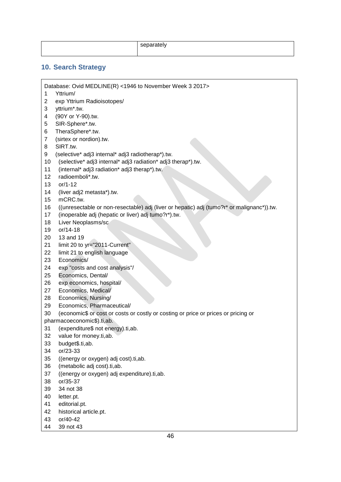| separately |
|------------|
|            |

#### <span id="page-45-0"></span>**10. Search Strategy**

Database: Ovid MEDLINE(R) <1946 to November Week 3 2017>

- 1 Yttrium/
- 2 exp Yttrium Radioisotopes/
- 3 yttrium\*.tw.
- 4 (90Y or Y-90).tw.
- 5 SIR-Sphere\*.tw.
- 6 TheraSphere\*.tw.
- 7 (sirtex or nordion).tw.
- 8 SIRT.tw.
- 9 (selective\* adj3 internal\* adj3 radiotherap\*).tw.
- 10 (selective\* adj3 internal\* adj3 radiation\* adj3 therap\*).tw.
- 11 (internal\* adj3 radiation\* adj3 therap\*).tw.
- 12 radioemboli\*.tw.
- 13 or/1-12
- 14 (liver adj2 metasta\*).tw.
- 15 mCRC.tw.
- 16 ((unresectable or non-resectable) adj (liver or hepatic) adj (tumo?r\* or malignanc\*)).tw.
- 17 (inoperable adj (hepatic or liver) adj tumo?r\*).tw.
- 18 Liver Neoplasms/sc
- 19 or/14-18
- 20 13 and 19
- 21 limit 20 to yr="2011-Current"
- 22 limit 21 to english language
- 23 Economics/
- 24 exp "costs and cost analysis"/
- 25 Economics, Dental/
- 26 exp economics, hospital/
- 27 Economics, Medical/
- 28 Economics, Nursing/
- 29 Economics, Pharmaceutical/
- 30 (economic\$ or cost or costs or costly or costing or price or prices or pricing or
- pharmacoeconomic\$).ti,ab.
- 31 (expenditure\$ not energy).ti,ab.
- 32 value for money.ti,ab.
- 33 budget\$.ti,ab.
- 34 or/23-33
- 35 ((energy or oxygen) adj cost).ti,ab.
- 36 (metabolic adj cost).ti,ab.
- 37 ((energy or oxygen) adj expenditure).ti,ab.
- 38 or/35-37
- 39 34 not 38
- 40 letter.pt.
- 41 editorial.pt.
- 42 historical article.pt.
- 43 or/40-42
- 44 39 not 43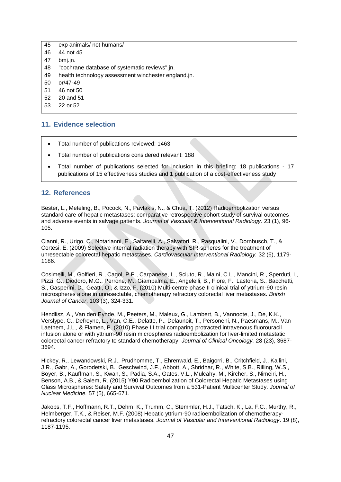| exp animals/ not humans/<br>45 |  |
|--------------------------------|--|
|--------------------------------|--|

- 46 44 not 45
- 47 bmj.jn.
- 48 "cochrane database of systematic reviews".jn.
- 49 health technology assessment winchester england.jn.
- 50 or/47-49
- 51 46 not 50
- 52 20 and 51
- 53 22 or 52

#### <span id="page-46-0"></span>**11. Evidence selection**

- Total number of publications reviewed: 1463
- Total number of publications considered relevant: 188
- Total number of publications selected for inclusion in this briefing: 18 publications 17 publications of 15 effectiveness studies and 1 publication of a cost-effectiveness study

#### <span id="page-46-1"></span>**12. References**

Bester, L., Meteling, B., Pocock, N., Pavlakis, N., & Chua, T. (2012) Radioembolization versus standard care of hepatic metastases: comparative retrospective cohort study of survival outcomes and adverse events in salvage patients. *Journal of Vascular & Interventional Radiology*. 23 (1), 96- 105.

Cianni, R., Urigo, C., Notarianni, E., Saltarelli, A., Salvatori, R., Pasqualini, V., Dornbusch, T., & Cortesi, E. (2009) Selective internal radiation therapy with SIR-spheres for the treatment of unresectable colorectal hepatic metastases. *Cardiovascular Interventional Radiology.* 32 (6), 1179- 1186.

Cosimelli, M., Golfieri, R., Cagol, P.P., Carpanese, L., Sciuto, R., Maini, C.L., Mancini, R., Sperduti, I., Pizzi, G., Diodoro, M.G., Perrone, M., Giampalma, E., Angelelli, B., Fiore, F., Lastoria, S., Bacchetti, S., Gasperini, D., Geatti, O., & Izzo, F. (2010) Multi-centre phase II clinical trial of yttrium-90 resin microspheres alone in unresectable, chemotherapy refractory colorectal liver metastases. *British Journal of Cancer*. 103 (3), 324-331.

Hendlisz, A., Van den Eynde, M., Peeters, M., Maleux, G., Lambert, B., Vannoote, J., De, K.K., Verslype, C., Defreyne, L., Van, C.E., Delatte, P., Delaunoit, T., Personeni, N., Paesmans, M., Van Laethem, J.L., & Flamen, P. (2010) Phase III trial comparing protracted intravenous fluorouracil infusion alone or with yttrium-90 resin microspheres radioembolization for liver-limited metastatic colorectal cancer refractory to standard chemotherapy. *Journal of Clinical Oncology.* 28 (23), 3687- 3694.

Hickey, R., Lewandowski, R.J., Prudhomme, T., Ehrenwald, E., Baigorri, B., Critchfield, J., Kallini, J.R., Gabr, A., Gorodetski, B., Geschwind, J.F., Abbott, A., Shridhar, R., White, S.B., Rilling, W.S., Boyer, B., Kauffman, S., Kwan, S., Padia, S.A., Gates, V.L., Mulcahy, M., Kircher, S., Nimeiri, H., Benson, A.B., & Salem, R. (2015) Y90 Radioembolization of Colorectal Hepatic Metastases using Glass Microspheres: Safety and Survival Outcomes from a 531-Patient Multicenter Study. *Journal of Nuclear Medicine.* 57 (5), 665-671.

Jakobs, T.F., Hoffmann, R.T., Dehm, K., Trumm, C., Stemmler, H.J., Tatsch, K., La, F.C., Murthy, R., Helmberger, T.K., & Reiser, M.F. (2008) Hepatic yttrium-90 radioembolization of chemotherapyrefractory colorectal cancer liver metastases. *Journal of Vascular and Interventional Radiology*. 19 (8), 1187-1195.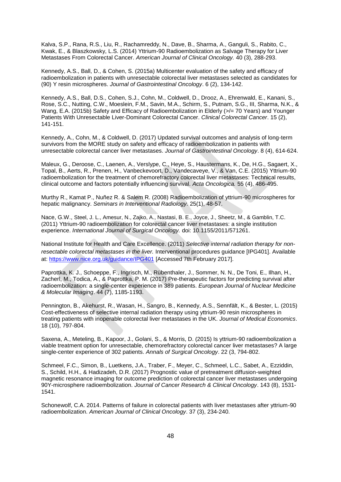Kalva, S.P., Rana, R.S., Liu, R., Rachamreddy, N., Dave, B., Sharma, A., Ganguli, S., Rabito, C., Kwak, E., & Blaszkowsky, L.S. (2014) Yttrium-90 Radioembolization as Salvage Therapy for Liver Metastases From Colorectal Cancer. *American Journal of Clinical Oncology.* 40 (3), 288-293.

Kennedy, A.S., Ball, D., & Cohen, S. (2015a) Multicenter evaluation of the safety and efficacy of radioembolization in patients with unresectable colorectal liver metastases selected as candidates for (90) Y resin microspheres. *Journal of Gastrointestinal Oncology*. 6 (2), 134-142.

Kennedy, A.S., Ball, D.S., Cohen, S.J., Cohn, M., Coldwell, D., Drooz, A., Ehrenwald, E., Kanani, S., Rose, S.C., Nutting, C.W., Moeslein, F.M., Savin, M.A., Schirm, S., Putnam, S.G., III, Sharma, N.K., & Wang, E.A. (2015b) Safety and Efficacy of Radioembolization in Elderly ( $>$ /= 70 Years) and Younger Patients With Unresectable Liver-Dominant Colorectal Cancer. *Clinical Colorectal Cancer*. 15 (2), 141-151.

Kennedy, A., Cohn, M., & Coldwell, D. (2017) Updated survival outcomes and analysis of long-term survivors from the MORE study on safety and efficacy of radioembolization in patients with unresectable colorectal cancer liver metastases. *Journal of Gastrointestinal Oncology*. 8 (4), 614-624.

Maleux, G., Deroose, C., Laenen, A., Verslype, C., Heye, S., Haustermans, K., De, H.G., Sagaert, X., Topal, B., Aerts, R., Prenen, H., Vanbeckevoort, D., Vandecaveye, V., & Van, C.E. (2015) Yttrium-90 radioembolization for the treatment of chemorefractory colorectal liver metastases: Technical results, clinical outcome and factors potentially influencing survival. *Acta Oncologica.* 55 (4), 486-495.

Murthy R., Kamat P., Nuñez R. & Salem R. (2008) Radioembolization of yttrium-90 microspheres for hepatic malignancy. *Seminars in Interventional Radiology.* 25(1), 48-57.

Nace, G.W., Steel, J. L., Amesur, N., Zajko, A., Nastasi, B. E., Joyce, J., Sheetz, M., & Gamblin, T.C. (2011) Yttrium-90 radioembolization for colorectal cancer liver metastases: a single institution experience. *International Journal of Surgical Oncology.* doi: 10.1155/2011/571261.

National Institute for Health and Care Excellence. (2011) *Selective internal radiation therapy for nonresectable colorectal metastases in the liver.* Interventional procedures guidance [IPG401]. Available at:<https://www.nice.org.uk/guidance/IPG401> [Accessed 7th February 2017].

Paprottka, K. J., Schoeppe, F., Ingrisch, M., Rübenthaler, J., Sommer, N. N., De Toni, E., Ilhan, H., Zacherl, M., Todica, A., & Paprottka, P. M. (2017) Pre-therapeutic factors for predicting survival after radioembolization: a single-center experience in 389 patients. *European Journal of Nuclear Medicine & Molecular Imaging*. 44 (7), 1185-1193.

Pennington, B., Akehurst, R., Wasan, H., Sangro, B., Kennedy, A.S., Sennfält, K., & Bester, L. (2015) Cost-effectiveness of selective internal radiation therapy using yttrium-90 resin microspheres in treating patients with inoperable colorectal liver metastases in the UK. *Journal of Medical Economics*. 18 (10), 797-804.

Saxena, A., Meteling, B., Kapoor, J., Golani, S., & Morris, D. (2015) Is yttrium-90 radioembolization a viable treatment option for unresectable, chemorefractory colorectal cancer liver metastases? A large single-center experience of 302 patients. *Annals of Surgical Oncology*. 22 (3, 794-802.

Schmeel, F.C., Simon, B., Luetkens, J.A., Traber, F., Meyer, C., Schmeel, L.C., Sabet, A., Ezziddin, S., Schild, H.H., & Hadizadeh, D.R. (2017) Prognostic value of pretreatment diffusion-weighted magnetic resonance imaging for outcome prediction of colorectal cancer liver metastases undergoing 90Y-microsphere radioembolization. *Journal of Cancer Research & Clinical Oncology*. 143 (8), 1531- 1541.

Schonewolf, C.A. 2014. Patterns of failure in colorectal patients with liver metastases after yttrium-90 radioembolization. *American Journal of Clinical Oncology*. 37 (3), 234-240.